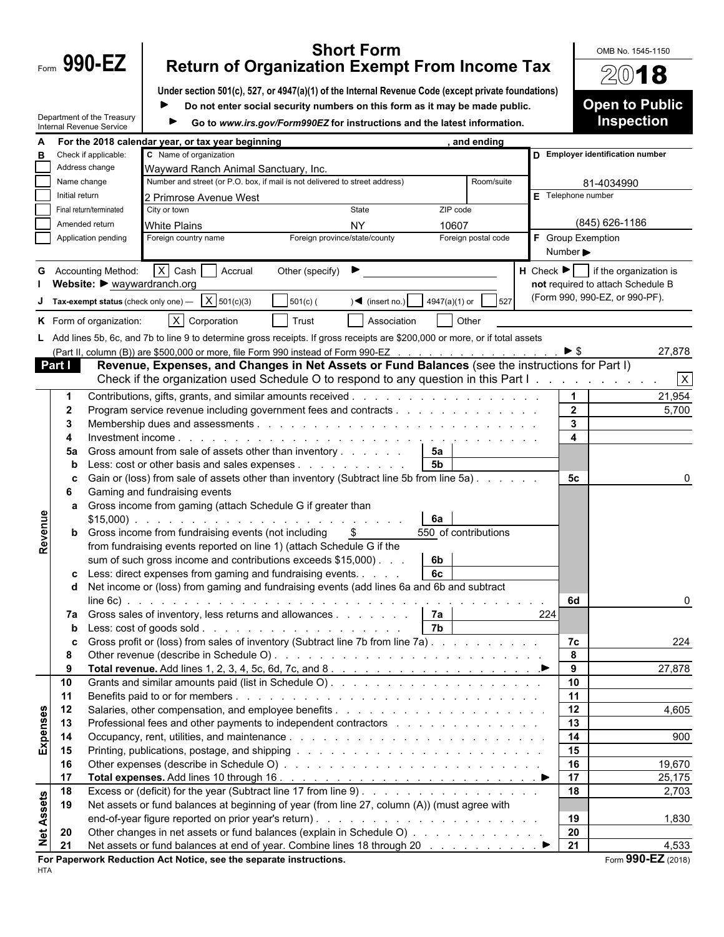|                                                                                                                |                |                                       | <b>Short Form</b>                                                                                                                                                                                          |                              | OMB No. 1545-1150                                        |
|----------------------------------------------------------------------------------------------------------------|----------------|---------------------------------------|------------------------------------------------------------------------------------------------------------------------------------------------------------------------------------------------------------|------------------------------|----------------------------------------------------------|
|                                                                                                                |                | Form 990-EZ                           | <b>Return of Organization Exempt From Income Tax</b>                                                                                                                                                       |                              | 2018                                                     |
|                                                                                                                |                |                                       | Under section 501(c), 527, or 4947(a)(1) of the Internal Revenue Code (except private foundations)                                                                                                         |                              |                                                          |
| Do not enter social security numbers on this form as it may be made public.<br>▶<br>Department of the Treasury |                |                                       |                                                                                                                                                                                                            |                              | <b>Open to Public</b><br><b>Inspection</b>               |
|                                                                                                                |                | Internal Revenue Service              | Go to www.irs.gov/Form990EZ for instructions and the latest information.                                                                                                                                   |                              |                                                          |
| в                                                                                                              |                | Check if applicable:                  | For the 2018 calendar year, or tax year beginning<br>, and ending<br>C Name of organization                                                                                                                |                              | D Employer identification number                         |
|                                                                                                                |                | Address change                        | Wayward Ranch Animal Sanctuary, Inc.                                                                                                                                                                       |                              |                                                          |
|                                                                                                                | Name change    |                                       | Number and street (or P.O. box, if mail is not delivered to street address)<br>Room/suite                                                                                                                  |                              | 81-4034990                                               |
|                                                                                                                | Initial return |                                       | $E$ Telephone number<br>2 Primrose Avenue West                                                                                                                                                             |                              |                                                          |
|                                                                                                                |                | Final return/terminated               | State<br>City or town<br>ZIP code                                                                                                                                                                          |                              |                                                          |
|                                                                                                                |                | Amended return<br>Application pending | <b>NY</b><br><b>White Plains</b><br>10607<br>F Group Exemption<br>Foreign province/state/county<br>Foreign country name<br>Foreign postal code                                                             |                              | (845) 626-1186                                           |
|                                                                                                                |                |                                       |                                                                                                                                                                                                            | Number $\blacktriangleright$ |                                                          |
| G                                                                                                              |                | <b>Accounting Method:</b>             | $X$ Cash<br>Accrual<br>Other (specify)                                                                                                                                                                     |                              | $H$ Check $\blacktriangleright$   if the organization is |
|                                                                                                                |                | Website: I waywardranch.org           |                                                                                                                                                                                                            |                              | not required to attach Schedule B                        |
|                                                                                                                |                |                                       | <b>Tax-exempt status</b> (check only one) $\overline{X}$ 501(c)(3)<br>$501(c)$ (<br>4947(a)(1) or<br>$\sqrt{ }$ (insert no.)<br>527                                                                        |                              | (Form 990, 990-EZ, or 990-PF).                           |
|                                                                                                                |                | K Form of organization:               | $X$ Corporation<br>Trust<br>Association<br>Other                                                                                                                                                           |                              |                                                          |
|                                                                                                                |                |                                       | L Add lines 5b, 6c, and 7b to line 9 to determine gross receipts. If gross receipts are \$200,000 or more, or if total assets                                                                              |                              |                                                          |
|                                                                                                                |                |                                       | (Part II, column (B)) are \$500,000 or more, file Form 990 instead of Form 990-EZ                                                                                                                          | $\blacktriangleright$ \$     | 27,878                                                   |
|                                                                                                                | Part I         |                                       | Revenue, Expenses, and Changes in Net Assets or Fund Balances (see the instructions for Part I)<br>Check if the organization used Schedule O to respond to any question in this Part I.                    |                              |                                                          |
|                                                                                                                |                |                                       |                                                                                                                                                                                                            | $\mathbf{1}$                 | $\mathsf{X}$<br>21,954                                   |
|                                                                                                                | $\mathbf 2$    |                                       | Program service revenue including government fees and contracts                                                                                                                                            | $\overline{2}$               | 5,700                                                    |
|                                                                                                                | 3              |                                       |                                                                                                                                                                                                            | $\mathbf{3}$                 |                                                          |
|                                                                                                                |                |                                       | Investment income $\ldots$ $\ldots$ $\ldots$ $\ldots$ $\ldots$ $\ldots$ $\ldots$ $\ldots$ $\ldots$ $\ldots$ $\ldots$ $\ldots$ $\ldots$                                                                     | $\overline{\mathbf{4}}$      |                                                          |
|                                                                                                                | 5a             |                                       | Gross amount from sale of assets other than inventory<br>5a                                                                                                                                                |                              |                                                          |
|                                                                                                                | n              |                                       | $\overline{5b}$<br>Less: cost or other basis and sales expenses $\ldots$                                                                                                                                   |                              |                                                          |
|                                                                                                                | c<br>6         |                                       | Gain or (loss) from sale of assets other than inventory (Subtract line 5b from line 5a)<br>Gaming and fundraising events                                                                                   | 5c                           |                                                          |
|                                                                                                                | a              |                                       | Gross income from gaming (attach Schedule G if greater than                                                                                                                                                |                              |                                                          |
|                                                                                                                |                |                                       | 6а                                                                                                                                                                                                         |                              |                                                          |
| Revenue                                                                                                        |                |                                       | <b>b</b> Gross income from fundraising events (not including<br>550 of contributions<br>- \$                                                                                                               |                              |                                                          |
|                                                                                                                |                |                                       | from fundraising events reported on line 1) (attach Schedule G if the                                                                                                                                      |                              |                                                          |
|                                                                                                                |                |                                       | 6b<br>sum of such gross income and contributions exceeds \$15,000).<br>Less: direct expenses from gaming and fundraising events. $\ldots$<br>  6с                                                          |                              |                                                          |
|                                                                                                                |                |                                       | d Net income or (loss) from gaming and fundraising events (add lines 6a and 6b and subtract                                                                                                                |                              |                                                          |
|                                                                                                                |                |                                       |                                                                                                                                                                                                            | 6d                           | 0                                                        |
|                                                                                                                |                |                                       | 7a Gross sales of inventory, less returns and allowances   7a  <br>224                                                                                                                                     |                              |                                                          |
|                                                                                                                | b              |                                       | 7b                                                                                                                                                                                                         |                              |                                                          |
|                                                                                                                | c<br>8         |                                       | Gross profit or (loss) from sales of inventory (Subtract line 7b from line 7a)                                                                                                                             | 7c<br>8                      | 224                                                      |
|                                                                                                                | 9              |                                       |                                                                                                                                                                                                            | 9                            | 27,878                                                   |
|                                                                                                                | 10             |                                       |                                                                                                                                                                                                            | 10                           |                                                          |
|                                                                                                                | 11             |                                       |                                                                                                                                                                                                            | 11                           |                                                          |
|                                                                                                                | 12             |                                       |                                                                                                                                                                                                            | 12                           | 4,605                                                    |
|                                                                                                                | 13             |                                       | Professional fees and other payments to independent contractors et al., and a series and other payments to independent contractors et al., and a series of the Professional fees and other payments of $P$ | 13                           |                                                          |
| <b>Expenses</b>                                                                                                | 14<br>15       |                                       |                                                                                                                                                                                                            | 14<br>15                     | 900                                                      |
|                                                                                                                | 16             |                                       |                                                                                                                                                                                                            | 16                           | 19,670                                                   |
|                                                                                                                | 17             |                                       |                                                                                                                                                                                                            | 17                           | 25,175                                                   |
|                                                                                                                | 18             |                                       |                                                                                                                                                                                                            | 18                           | 2,703                                                    |
| Net Assets                                                                                                     | 19             |                                       | Net assets or fund balances at beginning of year (from line 27, column (A)) (must agree with                                                                                                               |                              |                                                          |
|                                                                                                                |                |                                       |                                                                                                                                                                                                            | 19                           | 1,830                                                    |
|                                                                                                                | 20<br>21       |                                       | Other changes in net assets or fund balances (explain in Schedule O)<br>Net assets or fund balances at end of year. Combine lines 18 through 20 manus of the set of the Net of the Net                     | 20<br>21                     | 4,533                                                    |
|                                                                                                                |                |                                       |                                                                                                                                                                                                            |                              | $\overline{000}$ $\overline{53}$                         |

**For Paperwork Reduction Act Notice, see the separate instructions.** The setting of the separate instructions.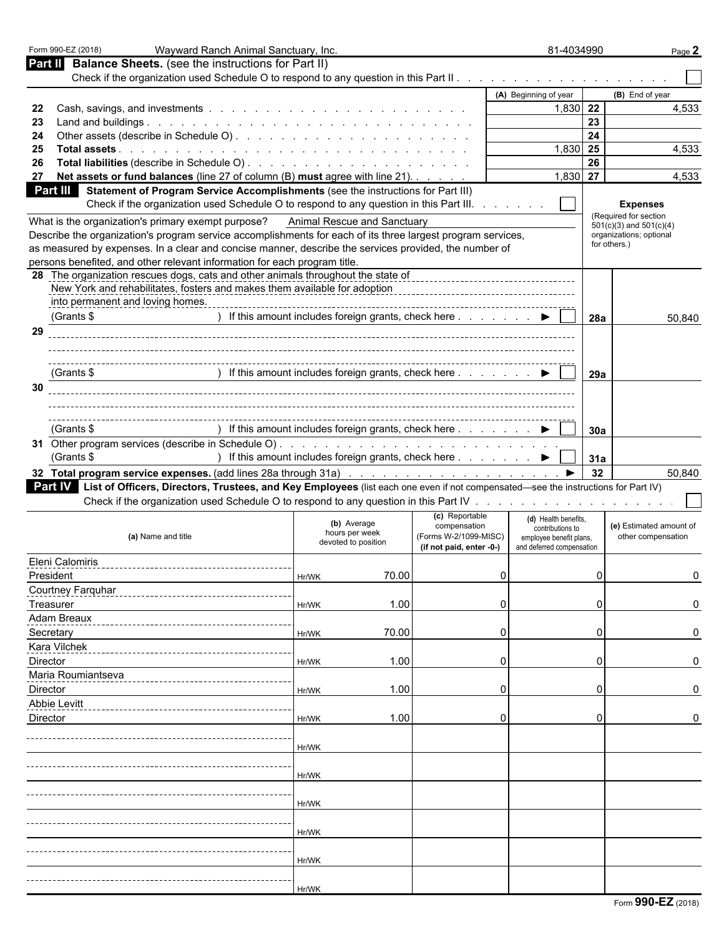|                                                            | Form 990-EZ (2018)<br>Wayward Ranch Animal Sanctuary, Inc.                                                                                                        |                                                                       |                                                                   |          | 81-4034990                                                                                       |     | Page 2                                        |
|------------------------------------------------------------|-------------------------------------------------------------------------------------------------------------------------------------------------------------------|-----------------------------------------------------------------------|-------------------------------------------------------------------|----------|--------------------------------------------------------------------------------------------------|-----|-----------------------------------------------|
| Part II Balance Sheets. (see the instructions for Part II) |                                                                                                                                                                   |                                                                       |                                                                   |          |                                                                                                  |     |                                               |
|                                                            |                                                                                                                                                                   |                                                                       |                                                                   |          |                                                                                                  |     |                                               |
|                                                            |                                                                                                                                                                   |                                                                       |                                                                   |          | (A) Beginning of year                                                                            |     | (B) End of year                               |
| 22                                                         |                                                                                                                                                                   |                                                                       |                                                                   |          | 1,830 22                                                                                         | 23  | 4,533                                         |
| 23<br>24                                                   |                                                                                                                                                                   |                                                                       |                                                                   |          |                                                                                                  | 24  |                                               |
| 25                                                         |                                                                                                                                                                   |                                                                       |                                                                   |          | 1,830 25                                                                                         |     | 4,533                                         |
| 26                                                         |                                                                                                                                                                   |                                                                       |                                                                   |          |                                                                                                  | 26  |                                               |
| 27                                                         | Net assets or fund balances (line 27 of column (B) must agree with line 21).                                                                                      |                                                                       |                                                                   |          | $1,830$ 27                                                                                       |     | 4,533                                         |
|                                                            | Part III Statement of Program Service Accomplishments (see the instructions for Part III)                                                                         |                                                                       |                                                                   |          |                                                                                                  |     |                                               |
|                                                            | Check if the organization used Schedule O to respond to any question in this Part III.                                                                            |                                                                       |                                                                   |          |                                                                                                  |     | <b>Expenses</b><br>(Required for section      |
|                                                            | What is the organization's primary exempt purpose?<br>Describe the organization's program service accomplishments for each of its three largest program services, | Animal Rescue and Sanctuary                                           |                                                                   |          |                                                                                                  |     | $501(c)(3)$ and $501(c)(4)$                   |
|                                                            | as measured by expenses. In a clear and concise manner, describe the services provided, the number of                                                             |                                                                       |                                                                   |          |                                                                                                  |     | organizations; optional<br>for others.)       |
|                                                            | persons benefited, and other relevant information for each program title.                                                                                         |                                                                       |                                                                   |          |                                                                                                  |     |                                               |
|                                                            | 28 The organization rescues dogs, cats and other animals throughout the state of<br>New York and rehabilitates, fosters and makes them available for adoption     |                                                                       |                                                                   |          |                                                                                                  |     |                                               |
|                                                            | into permanent and loving homes.                                                                                                                                  |                                                                       |                                                                   |          |                                                                                                  |     |                                               |
|                                                            | (Grants \$                                                                                                                                                        | ) If this amount includes foreign grants, check here ▶                |                                                                   |          |                                                                                                  | 28a | 50,840                                        |
| 29                                                         |                                                                                                                                                                   |                                                                       |                                                                   |          |                                                                                                  |     |                                               |
|                                                            |                                                                                                                                                                   |                                                                       |                                                                   |          |                                                                                                  |     |                                               |
|                                                            | (Grants \$                                                                                                                                                        | If this amount includes foreign grants, check here ▶                  |                                                                   |          |                                                                                                  | 29a |                                               |
| 30                                                         |                                                                                                                                                                   |                                                                       |                                                                   |          |                                                                                                  |     |                                               |
|                                                            |                                                                                                                                                                   |                                                                       |                                                                   |          |                                                                                                  |     |                                               |
|                                                            | (Grants \$                                                                                                                                                        | If this amount includes foreign grants, check here $. 1. 1. 1. 1. 1.$ |                                                                   |          |                                                                                                  | 30a |                                               |
|                                                            |                                                                                                                                                                   |                                                                       |                                                                   |          |                                                                                                  |     |                                               |
|                                                            | (Grants \$                                                                                                                                                        | ) If this amount includes foreign grants, check here ▶                |                                                                   |          |                                                                                                  | 31a |                                               |
|                                                            |                                                                                                                                                                   |                                                                       |                                                                   |          |                                                                                                  | 32  | 50,840                                        |
|                                                            | Part IV List of Officers, Directors, Trustees, and Key Employees (list each one even if not compensated—see the instructions for Part IV)                         |                                                                       |                                                                   |          |                                                                                                  |     |                                               |
|                                                            |                                                                                                                                                                   |                                                                       | (c) Reportable                                                    |          |                                                                                                  |     |                                               |
|                                                            | (a) Name and title                                                                                                                                                | (b) Average<br>hours per week<br>devoted to position                  | compensation<br>(Forms W-2/1099-MISC)<br>(if not paid, enter -0-) |          | (d) Health benefits,<br>contributions to<br>employee benefit plans,<br>and deferred compensation |     | (e) Estimated amount of<br>other compensation |
|                                                            | Eleni Calomiris                                                                                                                                                   |                                                                       |                                                                   |          |                                                                                                  |     |                                               |
| President                                                  |                                                                                                                                                                   | 70.00<br>Hr/WK                                                        |                                                                   | 0        |                                                                                                  | U   | $\Omega$                                      |
|                                                            | <b>Courtney Farquhar</b>                                                                                                                                          |                                                                       |                                                                   |          |                                                                                                  |     |                                               |
| Treasurer                                                  |                                                                                                                                                                   | 1.00<br>Hr/WK                                                         |                                                                   | $\Omega$ |                                                                                                  |     |                                               |
|                                                            | Adam Breaux                                                                                                                                                       |                                                                       |                                                                   |          |                                                                                                  |     |                                               |
| Secretary                                                  |                                                                                                                                                                   | 70.00<br>Hr/WK                                                        |                                                                   | $\Omega$ |                                                                                                  |     |                                               |
| Director                                                   | Kara Vilchek                                                                                                                                                      | 1.00                                                                  |                                                                   | $\Omega$ |                                                                                                  |     | n                                             |
|                                                            | Maria Roumiantseva                                                                                                                                                | Hr/WK                                                                 |                                                                   |          |                                                                                                  |     |                                               |
| Director                                                   |                                                                                                                                                                   | 1.00<br>Hr/WK                                                         |                                                                   | $\Omega$ |                                                                                                  |     |                                               |
|                                                            | Abbie Levitt                                                                                                                                                      |                                                                       |                                                                   |          |                                                                                                  |     |                                               |
| Director                                                   |                                                                                                                                                                   | 1.00<br>Hr/WK                                                         |                                                                   | $\Omega$ |                                                                                                  |     | O                                             |
|                                                            |                                                                                                                                                                   |                                                                       |                                                                   |          |                                                                                                  |     |                                               |
|                                                            |                                                                                                                                                                   | Hr/WK                                                                 |                                                                   |          |                                                                                                  |     |                                               |
|                                                            |                                                                                                                                                                   |                                                                       |                                                                   |          |                                                                                                  |     |                                               |
|                                                            |                                                                                                                                                                   | Hr/WK                                                                 |                                                                   |          |                                                                                                  |     |                                               |
|                                                            |                                                                                                                                                                   |                                                                       |                                                                   |          |                                                                                                  |     |                                               |
|                                                            |                                                                                                                                                                   | Hr/WK                                                                 |                                                                   |          |                                                                                                  |     |                                               |
|                                                            |                                                                                                                                                                   |                                                                       |                                                                   |          |                                                                                                  |     |                                               |
|                                                            |                                                                                                                                                                   | Hr/WK                                                                 |                                                                   |          |                                                                                                  |     |                                               |
|                                                            |                                                                                                                                                                   | Hr/WK                                                                 |                                                                   |          |                                                                                                  |     |                                               |
|                                                            |                                                                                                                                                                   |                                                                       |                                                                   |          |                                                                                                  |     |                                               |
|                                                            |                                                                                                                                                                   |                                                                       |                                                                   |          |                                                                                                  |     |                                               |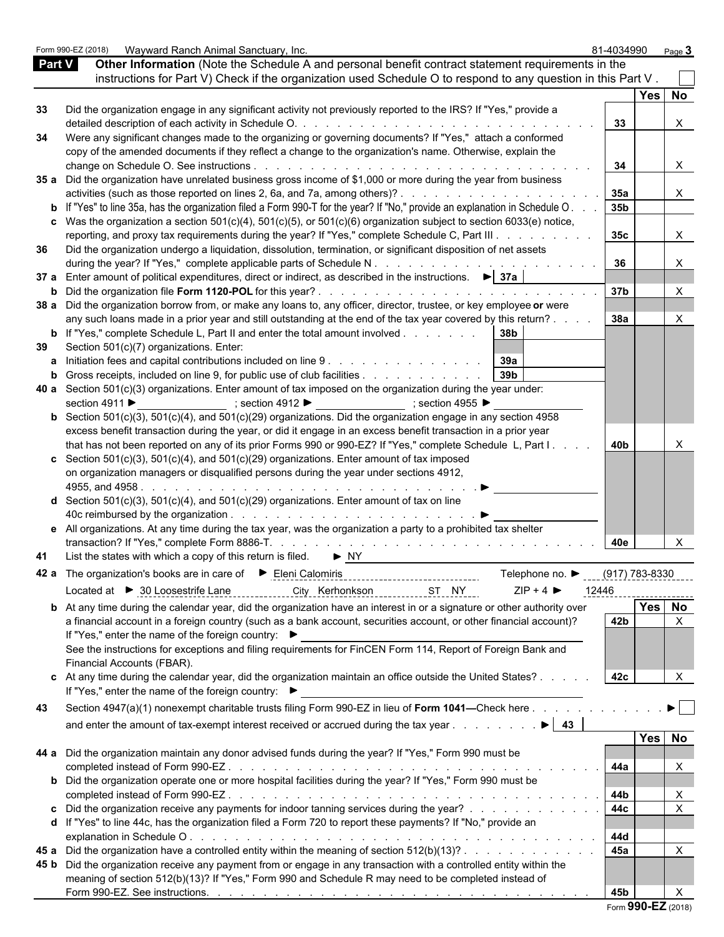|               | Form 990-EZ (2018) | Wayward Ranch Animal Sanctuary, Inc.                                                                                                                                                                             | 81-4034990            | Page $3$                     |  |
|---------------|--------------------|------------------------------------------------------------------------------------------------------------------------------------------------------------------------------------------------------------------|-----------------------|------------------------------|--|
| <b>Part V</b> |                    | Other Information (Note the Schedule A and personal benefit contract statement requirements in the                                                                                                               |                       |                              |  |
|               |                    | instructions for Part V) Check if the organization used Schedule O to respond to any question in this Part V.                                                                                                    |                       |                              |  |
|               |                    |                                                                                                                                                                                                                  |                       | Yes   No                     |  |
| 33            |                    | Did the organization engage in any significant activity not previously reported to the IRS? If "Yes," provide a                                                                                                  |                       |                              |  |
|               |                    |                                                                                                                                                                                                                  | 33                    | X                            |  |
| 34            |                    | Were any significant changes made to the organizing or governing documents? If "Yes," attach a conformed                                                                                                         |                       |                              |  |
|               |                    | copy of the amended documents if they reflect a change to the organization's name. Otherwise, explain the                                                                                                        |                       |                              |  |
|               |                    |                                                                                                                                                                                                                  | 34                    |                              |  |
|               |                    | 35 a Did the organization have unrelated business gross income of \$1,000 or more during the year from business                                                                                                  |                       |                              |  |
|               |                    | activities (such as those reported on lines 2, 6a, and 7a, among others)?                                                                                                                                        | 35a                   | X                            |  |
|               |                    | <b>b</b> If "Yes" to line 35a, has the organization filed a Form 990-T for the year? If "No," provide an explanation in Schedule O.                                                                              | 35b                   |                              |  |
|               |                    | c Was the organization a section $501(c)(4)$ , $501(c)(5)$ , or $501(c)(6)$ organization subject to section 6033(e) notice,                                                                                      |                       | $\times$                     |  |
| 36            |                    | reporting, and proxy tax requirements during the year? If "Yes," complete Schedule C, Part III<br>Did the organization undergo a liquidation, dissolution, termination, or significant disposition of net assets | 35 <sub>c</sub>       |                              |  |
|               |                    |                                                                                                                                                                                                                  | 36                    |                              |  |
|               |                    | 37 a Enter amount of political expenditures, direct or indirect, as described in the instructions. ▶ 37a                                                                                                         |                       |                              |  |
|               |                    |                                                                                                                                                                                                                  | 37b                   | X                            |  |
|               |                    | 38 a Did the organization borrow from, or make any loans to, any officer, director, trustee, or key employee or were                                                                                             |                       |                              |  |
|               |                    | any such loans made in a prior year and still outstanding at the end of the tax year covered by this return?                                                                                                     | <b>38a</b>            | X                            |  |
|               |                    | <b>b</b> If "Yes," complete Schedule L, Part II and enter the total amount involved<br>38b                                                                                                                       |                       |                              |  |
| 39            |                    | Section 501(c)(7) organizations. Enter:                                                                                                                                                                          |                       |                              |  |
|               |                    | a Initiation fees and capital contributions included on line 9.<br><u>.</u> 39a                                                                                                                                  |                       |                              |  |
|               |                    | 39 <sub>b</sub><br>Gross receipts, included on line 9, for public use of club facilities                                                                                                                         |                       |                              |  |
|               |                    | 40 a Section $501(c)(3)$ organizations. Enter amount of tax imposed on the organization during the year under:                                                                                                   |                       |                              |  |
|               | section 4911 ▶     | ; section 4912 ► $\bullet$ ; section 4955 ►                                                                                                                                                                      |                       |                              |  |
|               |                    | <b>b</b> Section 501(c)(3), 501(c)(4), and 501(c)(29) organizations. Did the organization engage in any section 4958                                                                                             |                       |                              |  |
|               |                    | excess benefit transaction during the year, or did it engage in an excess benefit transaction in a prior year                                                                                                    |                       |                              |  |
|               |                    | that has not been reported on any of its prior Forms 990 or 990-EZ? If "Yes," complete Schedule L, Part I.                                                                                                       | 40b                   |                              |  |
|               |                    | c Section 501(c)(3), 501(c)(4), and 501(c)(29) organizations. Enter amount of tax imposed                                                                                                                        |                       |                              |  |
|               |                    | on organization managers or disqualified persons during the year under sections 4912,                                                                                                                            |                       |                              |  |
|               |                    |                                                                                                                                                                                                                  |                       |                              |  |
|               |                    | <b>d</b> Section 501(c)(3), 501(c)(4), and 501(c)(29) organizations. Enter amount of tax on line                                                                                                                 |                       |                              |  |
|               |                    |                                                                                                                                                                                                                  |                       |                              |  |
|               |                    | e All organizations. At any time during the tax year, was the organization a party to a prohibited tax shelter                                                                                                   |                       |                              |  |
|               |                    |                                                                                                                                                                                                                  | 40e                   |                              |  |
| 41            |                    | List the states with which a copy of this return is filed. $\blacktriangleright$ NY                                                                                                                              |                       |                              |  |
|               |                    | Telephone no. ▶                                                                                                                                                                                                  | <u>(917) 783-8330</u> |                              |  |
|               |                    | Located at ▶ 30 Loosestrife Lane<br>$ZIP + 4$<br>City Kerhonkson<br>ST NY                                                                                                                                        | 12446                 | -------------                |  |
|               |                    | <b>b</b> At any time during the calendar year, did the organization have an interest in or a signature or other authority over                                                                                   |                       | Yes No                       |  |
|               |                    | a financial account in a foreign country (such as a bank account, securities account, or other financial account)?                                                                                               | 42b                   | $\times$                     |  |
|               |                    | If "Yes," enter the name of the foreign country: ▶                                                                                                                                                               |                       |                              |  |
|               |                    | See the instructions for exceptions and filing requirements for FinCEN Form 114, Report of Foreign Bank and                                                                                                      |                       |                              |  |
|               |                    | Financial Accounts (FBAR).                                                                                                                                                                                       |                       |                              |  |
|               |                    | c At any time during the calendar year, did the organization maintain an office outside the United States?                                                                                                       | 42c                   |                              |  |
|               |                    | If "Yes," enter the name of the foreign country: ▶                                                                                                                                                               |                       |                              |  |
| 43            |                    | Section 4947(a)(1) nonexempt charitable trusts filing Form 990-EZ in lieu of Form 1041-Check here                                                                                                                |                       | $\blacktriangleright$ $\Box$ |  |
|               |                    | and enter the amount of tax-exempt interest received or accrued during the tax year<br>$\mathbf{E}$   43                                                                                                         |                       |                              |  |
|               |                    |                                                                                                                                                                                                                  |                       | Yes No                       |  |
|               |                    | 44 a Did the organization maintain any donor advised funds during the year? If "Yes," Form 990 must be                                                                                                           |                       |                              |  |
|               |                    |                                                                                                                                                                                                                  | 44a                   | X                            |  |
|               |                    | <b>b</b> Did the organization operate one or more hospital facilities during the year? If "Yes," Form 990 must be                                                                                                |                       |                              |  |
|               |                    | completed instead of Form 990-EZ.<br>والمتعاونة والمتعاونة والمتعاونة والمتعاونة والمتعاونة والمتعاونة والمتعاونة والمتعاونة والمتعاونة والمتعاونة                                                               | 44b                   | X                            |  |
|               |                    | c Did the organization receive any payments for indoor tanning services during the year?                                                                                                                         | 44c                   | $\pmb{\times}$               |  |
|               |                    | d If "Yes" to line 44c, has the organization filed a Form 720 to report these payments? If "No," provide an                                                                                                      |                       |                              |  |
|               |                    |                                                                                                                                                                                                                  | 44d                   |                              |  |
|               |                    | 45 a Did the organization have a controlled entity within the meaning of section 512(b)(13)?                                                                                                                     | 45a                   | X                            |  |
|               |                    | 45 b Did the organization receive any payment from or engage in any transaction with a controlled entity within the                                                                                              |                       |                              |  |
|               |                    | meaning of section 512(b)(13)? If "Yes," Form 990 and Schedule R may need to be completed instead of                                                                                                             |                       |                              |  |
|               |                    |                                                                                                                                                                                                                  | 45b                   |                              |  |
|               |                    |                                                                                                                                                                                                                  |                       |                              |  |

|  |  |  | Form 990-EZ (2018) |
|--|--|--|--------------------|
|--|--|--|--------------------|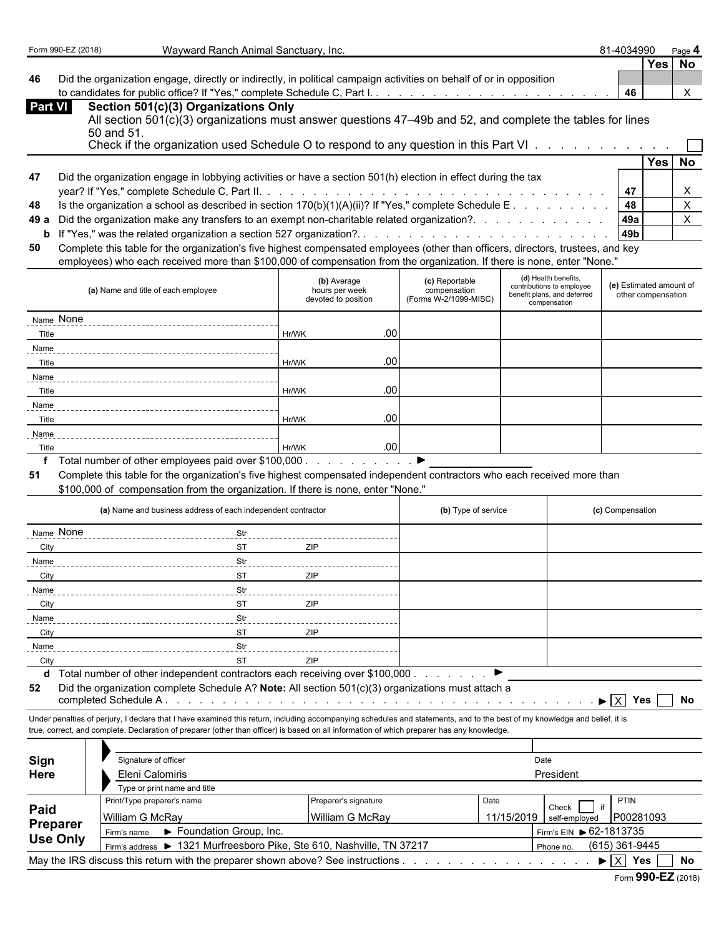**Yes No**

**46** Did the organization engage, directly or indirectly, in political campaign activities on behalf of or in opposition to candidates for public office? If "Yes," complete Schedule C, Part I. . . . . . . . . . . . . . . . . . . . . . . . . . . . . . . . . . . . . . . . . . . . **46** X

| <b>Part VI</b> | Section 501(c)(3) Organizations Only                                                                                     |            |     |    |
|----------------|--------------------------------------------------------------------------------------------------------------------------|------------|-----|----|
|                | All section 501(c)(3) organizations must answer questions 47–49b and 52, and complete the tables for lines<br>50 and 51. |            |     |    |
|                | Check if the organization used Schedule O to respond to any question in this Part VI                                     |            |     |    |
|                |                                                                                                                          |            | Yes | No |
| 47             | Did the organization engage in lobbying activities or have a section 501(h) election in effect during the tax            |            |     |    |
|                |                                                                                                                          |            |     |    |
| 48             | Is the organization a school as described in section $170(b)(1)(A)(ii)?$ If "Yes," complete Schedule E.                  | 48         |     |    |
|                | 49 a Did the organization make any transfers to an exempt non-charitable related organization?.                          | <b>49a</b> |     |    |
|                |                                                                                                                          | 49b        |     |    |

**50** Complete this table for the organization's five highest compensated employees (other than officers, directors, trustees, and key employees) who each received more than \$100,000 of compensation from the organization. If there is none, enter "None."

| (a) Name and title of each employee | (b) Average<br>hours per week<br>devoted to position |                  | (c) Reportable<br>compensation<br>(Forms W-2/1099-MISC) | (d) Health benefits,<br>contributions to employee<br>benefit plans, and deferred<br>compensation | (e) Estimated amount of<br>other compensation |
|-------------------------------------|------------------------------------------------------|------------------|---------------------------------------------------------|--------------------------------------------------------------------------------------------------|-----------------------------------------------|
| Name None                           |                                                      |                  |                                                         |                                                                                                  |                                               |
| Title                               | Hr/WK                                                | .00              |                                                         |                                                                                                  |                                               |
| Name                                |                                                      |                  |                                                         |                                                                                                  |                                               |
| Title                               | Hr/WK                                                | .00              |                                                         |                                                                                                  |                                               |
| Name                                |                                                      |                  |                                                         |                                                                                                  |                                               |
| Title                               | Hr/WK                                                | .00 <sub>1</sub> |                                                         |                                                                                                  |                                               |
| Name                                |                                                      |                  |                                                         |                                                                                                  |                                               |
| Title                               | Hr/WK                                                | .00              |                                                         |                                                                                                  |                                               |
| Name                                |                                                      |                  |                                                         |                                                                                                  |                                               |
| Title                               | Hr/WK<br>$\cdots$                                    | .00 <sub>1</sub> |                                                         |                                                                                                  |                                               |

**f** Total number of other employees paid over \$100,000 . . . . . . . . . . . . ▶

**51** Complete this table for the organization's five highest compensated independent contractors who each received more than

\$100,000 of compensation from the organization. If there is none, enter "None."

|             | (a) Name and business address of each independent contractor |           |                        |          | (b) Type of service | (c) Compensation |
|-------------|--------------------------------------------------------------|-----------|------------------------|----------|---------------------|------------------|
| Name None   |                                                              | Str       |                        |          |                     |                  |
| <b>City</b> |                                                              | <b>ST</b> | ZIP                    |          |                     |                  |
| Name        |                                                              | Str       |                        |          |                     |                  |
| City        |                                                              | <b>ST</b> | ZIP                    |          |                     |                  |
| Name        |                                                              | Str       |                        |          |                     |                  |
| City        |                                                              | <b>ST</b> | ZIP                    |          |                     |                  |
| Name        |                                                              | Str       |                        |          |                     |                  |
| City        |                                                              | <b>ST</b> | ZIP                    |          |                     |                  |
| Name        |                                                              | Str       |                        |          |                     |                  |
| City        |                                                              | <b>ST</b> | ZIP<br>$\cdot$ $\cdot$ | $\cdots$ |                     |                  |

**d** Total number of other independent contractors each receiving over \$100,000 . . . . . . . . .

**52** Did the organization complete Schedule A? **Note:** All section 501(c)(3) organizations must attach a completed Schedule A . . . . . . . . . . . . . . . . . . . . . . . . . . . . . . . . . . . . . . . . . . . . . . X **Yes No**

Under penalties of perjury, I declare that I have examined this return, including accompanying schedules and statements, and to the best of my knowledge and belief, it is true, correct, and complete. Declaration of preparer (other than officer) is based on all information of which preparer has any knowledge.

| President                   |  |  |  |  |
|-----------------------------|--|--|--|--|
|                             |  |  |  |  |
|                             |  |  |  |  |
|                             |  |  |  |  |
|                             |  |  |  |  |
| (615) 361-9445<br>Phone no. |  |  |  |  |
| No                          |  |  |  |  |
|                             |  |  |  |  |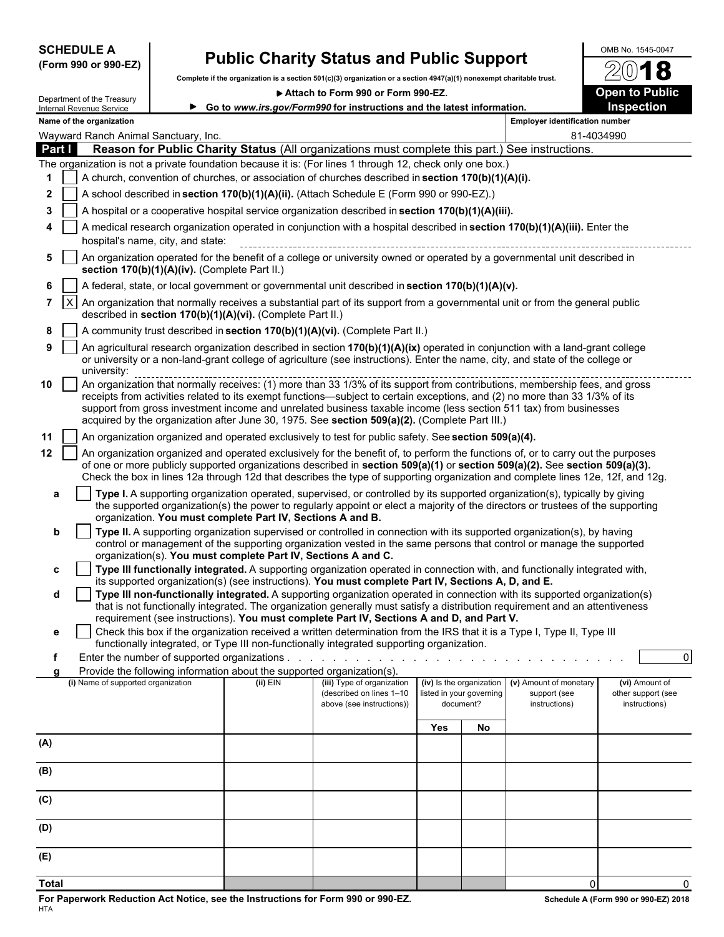| <b>SCHEDULE A</b> |  |                      |
|-------------------|--|----------------------|
|                   |  | (Form 990 or 990-EZ) |

# **Public Charity Status and Public Support** <br> **Combine in a creation finite in a section finite)** creation (2017) and concernate charitable trust  $\sqrt{2018}$

**Complete if the organization is a section 501(c)(3) organization or a section 4947(a)(1) nonexempt charitable trust.**

▶ Attach to Form 990 or Form 990-EZ. **Open to Public** 

72

|        | Department of the Treasury<br>Internal Revenue Service                                                                                                                                                     |                                               |                                                                        | ► Go to www.irs.gov/Form990 for instructions and the latest information.                                                                                                                                                                                                                                                                                                                                                                                                         |     |                                                                   |                                                         | Inspection                                            |  |  |  |
|--------|------------------------------------------------------------------------------------------------------------------------------------------------------------------------------------------------------------|-----------------------------------------------|------------------------------------------------------------------------|----------------------------------------------------------------------------------------------------------------------------------------------------------------------------------------------------------------------------------------------------------------------------------------------------------------------------------------------------------------------------------------------------------------------------------------------------------------------------------|-----|-------------------------------------------------------------------|---------------------------------------------------------|-------------------------------------------------------|--|--|--|
|        | Name of the organization                                                                                                                                                                                   |                                               |                                                                        |                                                                                                                                                                                                                                                                                                                                                                                                                                                                                  |     |                                                                   | <b>Employer identification number</b>                   |                                                       |  |  |  |
|        | Wayward Ranch Animal Sanctuary, Inc.                                                                                                                                                                       |                                               |                                                                        |                                                                                                                                                                                                                                                                                                                                                                                                                                                                                  |     |                                                                   |                                                         | 81-4034990                                            |  |  |  |
| Part I |                                                                                                                                                                                                            |                                               |                                                                        | Reason for Public Charity Status (All organizations must complete this part.) See instructions.                                                                                                                                                                                                                                                                                                                                                                                  |     |                                                                   |                                                         |                                                       |  |  |  |
|        |                                                                                                                                                                                                            |                                               |                                                                        | The organization is not a private foundation because it is: (For lines 1 through 12, check only one box.)<br>A church, convention of churches, or association of churches described in section 170(b)(1)(A)(i).                                                                                                                                                                                                                                                                  |     |                                                                   |                                                         |                                                       |  |  |  |
| 1<br>2 |                                                                                                                                                                                                            |                                               |                                                                        |                                                                                                                                                                                                                                                                                                                                                                                                                                                                                  |     |                                                                   |                                                         |                                                       |  |  |  |
|        |                                                                                                                                                                                                            |                                               |                                                                        | A school described in section 170(b)(1)(A)(ii). (Attach Schedule E (Form 990 or 990-EZ).)                                                                                                                                                                                                                                                                                                                                                                                        |     |                                                                   |                                                         |                                                       |  |  |  |
| 3      |                                                                                                                                                                                                            |                                               |                                                                        | A hospital or a cooperative hospital service organization described in section 170(b)(1)(A)(iii).                                                                                                                                                                                                                                                                                                                                                                                |     |                                                                   |                                                         |                                                       |  |  |  |
| 4      |                                                                                                                                                                                                            | hospital's name, city, and state:             |                                                                        | A medical research organization operated in conjunction with a hospital described in section 170(b)(1)(A)(iii). Enter the                                                                                                                                                                                                                                                                                                                                                        |     |                                                                   |                                                         |                                                       |  |  |  |
| 5      |                                                                                                                                                                                                            | section 170(b)(1)(A)(iv). (Complete Part II.) |                                                                        | An organization operated for the benefit of a college or university owned or operated by a governmental unit described in                                                                                                                                                                                                                                                                                                                                                        |     |                                                                   |                                                         |                                                       |  |  |  |
| 6      |                                                                                                                                                                                                            |                                               |                                                                        | A federal, state, or local government or governmental unit described in section 170(b)(1)(A)(v).                                                                                                                                                                                                                                                                                                                                                                                 |     |                                                                   |                                                         |                                                       |  |  |  |
| 7      | $\mathsf{X}$<br>An organization that normally receives a substantial part of its support from a governmental unit or from the general public<br>described in section 170(b)(1)(A)(vi). (Complete Part II.) |                                               |                                                                        |                                                                                                                                                                                                                                                                                                                                                                                                                                                                                  |     |                                                                   |                                                         |                                                       |  |  |  |
| 8      |                                                                                                                                                                                                            |                                               |                                                                        | A community trust described in section 170(b)(1)(A)(vi). (Complete Part II.)                                                                                                                                                                                                                                                                                                                                                                                                     |     |                                                                   |                                                         |                                                       |  |  |  |
| 9      | university:                                                                                                                                                                                                |                                               |                                                                        | An agricultural research organization described in section 170(b)(1)(A)(ix) operated in conjunction with a land-grant college<br>or university or a non-land-grant college of agriculture (see instructions). Enter the name, city, and state of the college or                                                                                                                                                                                                                  |     |                                                                   |                                                         |                                                       |  |  |  |
| 10     |                                                                                                                                                                                                            |                                               |                                                                        | An organization that normally receives: (1) more than 33 1/3% of its support from contributions, membership fees, and gross<br>receipts from activities related to its exempt functions—subject to certain exceptions, and (2) no more than 33 1/3% of its<br>support from gross investment income and unrelated business taxable income (less section 511 tax) from businesses<br>acquired by the organization after June 30, 1975. See section 509(a)(2). (Complete Part III.) |     |                                                                   |                                                         |                                                       |  |  |  |
| 11     |                                                                                                                                                                                                            |                                               |                                                                        | An organization organized and operated exclusively to test for public safety. See section 509(a)(4).                                                                                                                                                                                                                                                                                                                                                                             |     |                                                                   |                                                         |                                                       |  |  |  |
| 12     |                                                                                                                                                                                                            |                                               |                                                                        | An organization organized and operated exclusively for the benefit of, to perform the functions of, or to carry out the purposes<br>of one or more publicly supported organizations described in section 509(a)(1) or section 509(a)(2). See section 509(a)(3).<br>Check the box in lines 12a through 12d that describes the type of supporting organization and complete lines 12e, 12f, and 12g.                                                                               |     |                                                                   |                                                         |                                                       |  |  |  |
| a      |                                                                                                                                                                                                            |                                               | organization. You must complete Part IV, Sections A and B.             | Type I. A supporting organization operated, supervised, or controlled by its supported organization(s), typically by giving<br>the supported organization(s) the power to regularly appoint or elect a majority of the directors or trustees of the supporting                                                                                                                                                                                                                   |     |                                                                   |                                                         |                                                       |  |  |  |
| b      |                                                                                                                                                                                                            |                                               | organization(s). You must complete Part IV, Sections A and C.          | Type II. A supporting organization supervised or controlled in connection with its supported organization(s), by having<br>control or management of the supporting organization vested in the same persons that control or manage the supported                                                                                                                                                                                                                                  |     |                                                                   |                                                         |                                                       |  |  |  |
| c      |                                                                                                                                                                                                            |                                               |                                                                        | Type III functionally integrated. A supporting organization operated in connection with, and functionally integrated with,<br>its supported organization(s) (see instructions). You must complete Part IV, Sections A, D, and E.                                                                                                                                                                                                                                                 |     |                                                                   |                                                         |                                                       |  |  |  |
| d      |                                                                                                                                                                                                            |                                               |                                                                        | Type III non-functionally integrated. A supporting organization operated in connection with its supported organization(s)<br>that is not functionally integrated. The organization generally must satisfy a distribution requirement and an attentiveness                                                                                                                                                                                                                        |     |                                                                   |                                                         |                                                       |  |  |  |
| е      |                                                                                                                                                                                                            |                                               |                                                                        | requirement (see instructions). You must complete Part IV, Sections A and D, and Part V.<br>Check this box if the organization received a written determination from the IRS that it is a Type I, Type II, Type III                                                                                                                                                                                                                                                              |     |                                                                   |                                                         |                                                       |  |  |  |
|        |                                                                                                                                                                                                            |                                               |                                                                        | functionally integrated, or Type III non-functionally integrated supporting organization.<br>Enter the number of supported organizations                                                                                                                                                                                                                                                                                                                                         |     |                                                                   |                                                         | $\overline{0}$                                        |  |  |  |
|        |                                                                                                                                                                                                            |                                               | Provide the following information about the supported organization(s). |                                                                                                                                                                                                                                                                                                                                                                                                                                                                                  |     |                                                                   |                                                         |                                                       |  |  |  |
|        | (i) Name of supported organization                                                                                                                                                                         |                                               | $(ii)$ EIN                                                             | (iii) Type of organization<br>(described on lines 1-10<br>above (see instructions))                                                                                                                                                                                                                                                                                                                                                                                              |     | (iv) Is the organization<br>listed in your governing<br>document? | (v) Amount of monetary<br>support (see<br>instructions) | (vi) Amount of<br>other support (see<br>instructions) |  |  |  |
|        |                                                                                                                                                                                                            |                                               |                                                                        |                                                                                                                                                                                                                                                                                                                                                                                                                                                                                  | Yes | No                                                                |                                                         |                                                       |  |  |  |
| (A)    |                                                                                                                                                                                                            |                                               |                                                                        |                                                                                                                                                                                                                                                                                                                                                                                                                                                                                  |     |                                                                   |                                                         |                                                       |  |  |  |
| (B)    |                                                                                                                                                                                                            |                                               |                                                                        |                                                                                                                                                                                                                                                                                                                                                                                                                                                                                  |     |                                                                   |                                                         |                                                       |  |  |  |
| (C)    |                                                                                                                                                                                                            |                                               |                                                                        |                                                                                                                                                                                                                                                                                                                                                                                                                                                                                  |     |                                                                   |                                                         |                                                       |  |  |  |
| (D)    |                                                                                                                                                                                                            |                                               |                                                                        |                                                                                                                                                                                                                                                                                                                                                                                                                                                                                  |     |                                                                   |                                                         |                                                       |  |  |  |
| (E)    |                                                                                                                                                                                                            |                                               |                                                                        |                                                                                                                                                                                                                                                                                                                                                                                                                                                                                  |     |                                                                   |                                                         |                                                       |  |  |  |

**Total** 0 0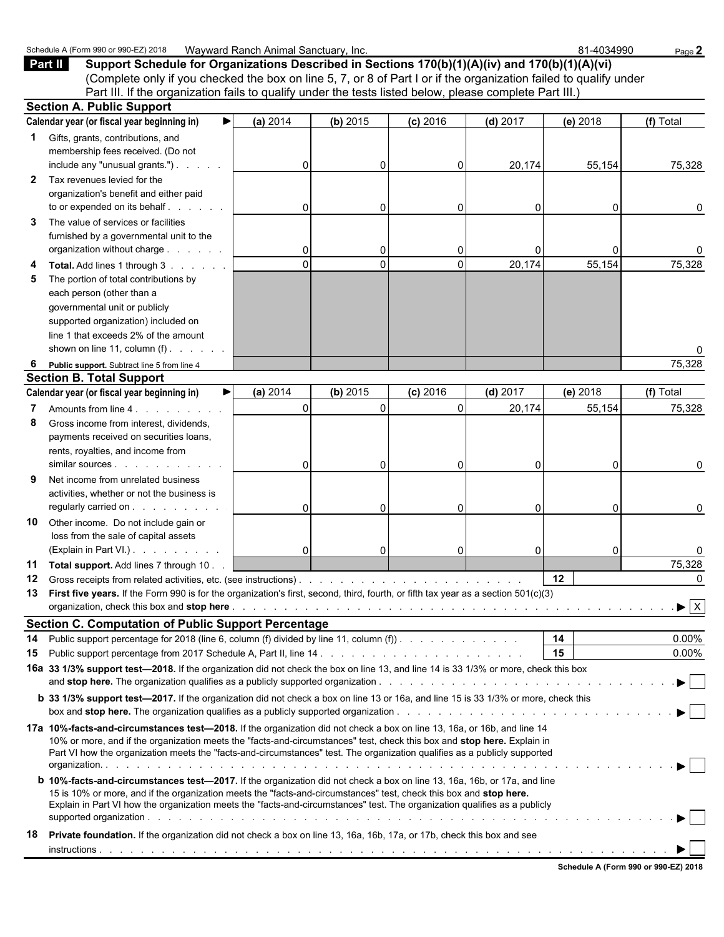|    | Schedule A (Form 990 or 990-EZ) 2018                                                                                                                                                                                                                                                                                                                                               | Wayward Ranch Animal Sanctuary, Inc. |          |            |            | 81-4034990 | Page 2                         |
|----|------------------------------------------------------------------------------------------------------------------------------------------------------------------------------------------------------------------------------------------------------------------------------------------------------------------------------------------------------------------------------------|--------------------------------------|----------|------------|------------|------------|--------------------------------|
|    | Part II<br>Support Schedule for Organizations Described in Sections 170(b)(1)(A)(iv) and 170(b)(1)(A)(vi)                                                                                                                                                                                                                                                                          |                                      |          |            |            |            |                                |
|    | (Complete only if you checked the box on line 5, 7, or 8 of Part I or if the organization failed to qualify under                                                                                                                                                                                                                                                                  |                                      |          |            |            |            |                                |
|    | Part III. If the organization fails to qualify under the tests listed below, please complete Part III.)                                                                                                                                                                                                                                                                            |                                      |          |            |            |            |                                |
|    | <b>Section A. Public Support</b>                                                                                                                                                                                                                                                                                                                                                   |                                      |          |            |            |            |                                |
|    | Calendar year (or fiscal year beginning in)                                                                                                                                                                                                                                                                                                                                        | (a) 2014                             | (b) 2015 | $(c)$ 2016 | $(d)$ 2017 | (e) 2018   | (f) Total                      |
|    |                                                                                                                                                                                                                                                                                                                                                                                    |                                      |          |            |            |            |                                |
| 1  | Gifts, grants, contributions, and                                                                                                                                                                                                                                                                                                                                                  |                                      |          |            |            |            |                                |
|    | membership fees received. (Do not                                                                                                                                                                                                                                                                                                                                                  |                                      |          |            |            |            |                                |
|    | include any "unusual grants.")                                                                                                                                                                                                                                                                                                                                                     | 0                                    | 0        | 0          | 20,174     | 55,154     | 75,328                         |
| 2  | Tax revenues levied for the                                                                                                                                                                                                                                                                                                                                                        |                                      |          |            |            |            |                                |
|    | organization's benefit and either paid                                                                                                                                                                                                                                                                                                                                             |                                      |          |            |            |            |                                |
|    | to or expended on its behalf                                                                                                                                                                                                                                                                                                                                                       | $\mathbf 0$                          | 0        | 0          | 0          | 0          | 0                              |
| 3  | The value of services or facilities                                                                                                                                                                                                                                                                                                                                                |                                      |          |            |            |            |                                |
|    | furnished by a governmental unit to the                                                                                                                                                                                                                                                                                                                                            |                                      |          |            |            |            |                                |
|    | organization without charge                                                                                                                                                                                                                                                                                                                                                        | $\mathbf 0$                          | 0        | 0          | 0          | $\Omega$   |                                |
|    | Total. Add lines 1 through 3                                                                                                                                                                                                                                                                                                                                                       | $\mathbf 0$                          | $\Omega$ | 0          | 20,174     | 55,154     | 75,328                         |
| 5  | The portion of total contributions by                                                                                                                                                                                                                                                                                                                                              |                                      |          |            |            |            |                                |
|    | each person (other than a                                                                                                                                                                                                                                                                                                                                                          |                                      |          |            |            |            |                                |
|    | governmental unit or publicly                                                                                                                                                                                                                                                                                                                                                      |                                      |          |            |            |            |                                |
|    | supported organization) included on                                                                                                                                                                                                                                                                                                                                                |                                      |          |            |            |            |                                |
|    | line 1 that exceeds 2% of the amount                                                                                                                                                                                                                                                                                                                                               |                                      |          |            |            |            |                                |
|    | shown on line 11, column $(f)$ . $\ldots$ .                                                                                                                                                                                                                                                                                                                                        |                                      |          |            |            |            |                                |
| 6  | Public support. Subtract line 5 from line 4                                                                                                                                                                                                                                                                                                                                        |                                      |          |            |            |            | 75,328                         |
|    | <b>Section B. Total Support</b>                                                                                                                                                                                                                                                                                                                                                    |                                      |          |            |            |            |                                |
|    | Calendar year (or fiscal year beginning in)                                                                                                                                                                                                                                                                                                                                        | (a) 2014                             | (b) 2015 | $(c)$ 2016 | $(d)$ 2017 | (e) 2018   | (f) Total                      |
|    | Amounts from line 4.                                                                                                                                                                                                                                                                                                                                                               | $\mathbf{0}$                         | $\Omega$ | $\Omega$   | 20,174     | 55,154     | 75,328                         |
| 8  |                                                                                                                                                                                                                                                                                                                                                                                    |                                      |          |            |            |            |                                |
|    | Gross income from interest, dividends,                                                                                                                                                                                                                                                                                                                                             |                                      |          |            |            |            |                                |
|    | payments received on securities loans,                                                                                                                                                                                                                                                                                                                                             |                                      |          |            |            |            |                                |
|    | rents, royalties, and income from                                                                                                                                                                                                                                                                                                                                                  |                                      |          |            |            |            |                                |
|    | similar sources expansion of the state of the state of the state of the state of the state of the state of the                                                                                                                                                                                                                                                                     | 0                                    | 0        | 0          | 0          | $\Omega$   | 0                              |
| 9  | Net income from unrelated business                                                                                                                                                                                                                                                                                                                                                 |                                      |          |            |            |            |                                |
|    | activities, whether or not the business is                                                                                                                                                                                                                                                                                                                                         |                                      |          |            |            |            |                                |
|    | regularly carried on                                                                                                                                                                                                                                                                                                                                                               | 0                                    | $\Omega$ | 0          | 0          | $\Omega$   | 0                              |
| 10 | Other income. Do not include gain or                                                                                                                                                                                                                                                                                                                                               |                                      |          |            |            |            |                                |
|    | loss from the sale of capital assets                                                                                                                                                                                                                                                                                                                                               |                                      |          |            |            |            |                                |
|    | (Explain in Part VI.)                                                                                                                                                                                                                                                                                                                                                              | 0                                    | 0        | 0          | 0          | $\Omega$   |                                |
|    | 11 Total support. Add lines 7 through 10.                                                                                                                                                                                                                                                                                                                                          |                                      |          |            |            |            | 75,328                         |
| 12 |                                                                                                                                                                                                                                                                                                                                                                                    |                                      |          |            |            | 12         | 0                              |
| 13 | First five years. If the Form 990 is for the organization's first, second, third, fourth, or fifth tax year as a section 501(c)(3)                                                                                                                                                                                                                                                 |                                      |          |            |            |            |                                |
|    |                                                                                                                                                                                                                                                                                                                                                                                    |                                      |          |            |            |            | $\mathbf{F}$ $\mathbf{X}$      |
|    | <b>Section C. Computation of Public Support Percentage</b>                                                                                                                                                                                                                                                                                                                         |                                      |          |            |            |            |                                |
| 14 | Public support percentage for 2018 (line 6, column (f) divided by line 11, column (f)).                                                                                                                                                                                                                                                                                            |                                      |          |            |            | 14         | $0.00\%$                       |
| 15 |                                                                                                                                                                                                                                                                                                                                                                                    |                                      |          |            |            | 15         | $0.00\%$                       |
|    | 16a 33 1/3% support test-2018. If the organization did not check the box on line 13, and line 14 is 33 1/3% or more, check this box                                                                                                                                                                                                                                                |                                      |          |            |            |            |                                |
|    |                                                                                                                                                                                                                                                                                                                                                                                    |                                      |          |            |            |            | $\blacktriangleright$ $\vdash$ |
|    | <b>b</b> 33 1/3% support test-2017. If the organization did not check a box on line 13 or 16a, and line 15 is 33 1/3% or more, check this                                                                                                                                                                                                                                          |                                      |          |            |            |            |                                |
|    | box and <b>stop here.</b> The organization qualifies as a publicly supported organization.                                                                                                                                                                                                                                                                                         |                                      |          |            |            |            |                                |
|    | 17a 10%-facts-and-circumstances test-2018. If the organization did not check a box on line 13, 16a, or 16b, and line 14<br>10% or more, and if the organization meets the "facts-and-circumstances" test, check this box and stop here. Explain in<br>Part VI how the organization meets the "facts-and-circumstances" test. The organization qualifies as a publicly supported    |                                      |          |            |            |            |                                |
|    |                                                                                                                                                                                                                                                                                                                                                                                    |                                      |          |            |            |            |                                |
|    | <b>b</b> 10%-facts-and-circumstances test-2017. If the organization did not check a box on line 13, 16a, 16b, or 17a, and line<br>15 is 10% or more, and if the organization meets the "facts-and-circumstances" test, check this box and stop here.<br>Explain in Part VI how the organization meets the "facts-and-circumstances" test. The organization qualifies as a publicly |                                      |          |            |            |            | $\blacktriangleright$ $\vdash$ |
| 18 | Private foundation. If the organization did not check a box on line 13, 16a, 16b, 17a, or 17b, check this box and see                                                                                                                                                                                                                                                              |                                      |          |            |            |            |                                |
|    |                                                                                                                                                                                                                                                                                                                                                                                    |                                      |          |            |            |            |                                |
|    |                                                                                                                                                                                                                                                                                                                                                                                    |                                      |          |            |            |            |                                |

**Schedule A (Form 990 or 990-EZ) 2018**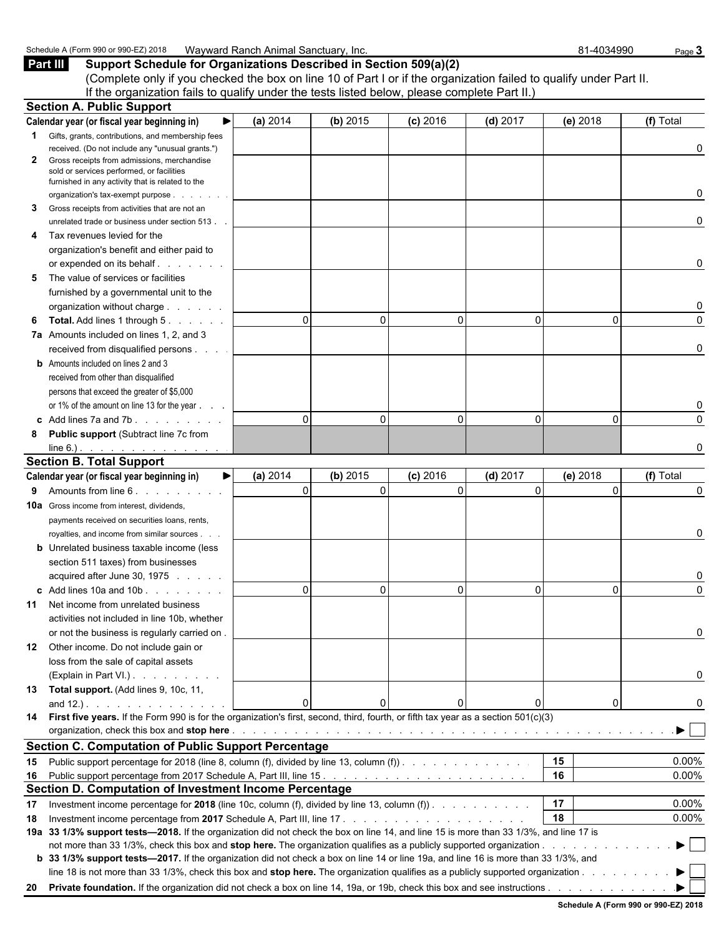Schedule A (Form 990 or 990-EZ) 2018 Wayward Ranch Animal Sanctuary, Inc. 81-4034990 B1-4034990 Page 3<br>**Part III** Support Schedule for Organizations Described in Section 509(a)(2) **Support Schedule for Organizations Described in Section 509(a)(2)** (Complete only if you checked the box on line 10 of Part I or if the organization failed to qualify under Part II. If the organization fails to qualify under the tests listed below, please complete Part II.)

|              | <b>Section A. Public Support</b>                                                                                                                                                                                              |          |          |                          |            |             |           |
|--------------|-------------------------------------------------------------------------------------------------------------------------------------------------------------------------------------------------------------------------------|----------|----------|--------------------------|------------|-------------|-----------|
|              | Calendar year (or fiscal year beginning in)                                                                                                                                                                                   | (a) 2014 | (b) 2015 | $(c)$ 2016               | $(d)$ 2017 | (e) 2018    | (f) Total |
|              | 1 Gifts, grants, contributions, and membership fees                                                                                                                                                                           |          |          |                          |            |             |           |
|              | received. (Do not include any "unusual grants.")                                                                                                                                                                              |          |          |                          |            |             | 0         |
| $\mathbf{2}$ | Gross receipts from admissions, merchandise                                                                                                                                                                                   |          |          |                          |            |             |           |
|              | sold or services performed, or facilities<br>furnished in any activity that is related to the                                                                                                                                 |          |          |                          |            |             |           |
|              | organization's tax-exempt purpose                                                                                                                                                                                             |          |          |                          |            |             | 0         |
| 3            | Gross receipts from activities that are not an                                                                                                                                                                                |          |          |                          |            |             |           |
|              | unrelated trade or business under section 513.                                                                                                                                                                                |          |          |                          |            |             | 0         |
| 4            | Tax revenues levied for the                                                                                                                                                                                                   |          |          |                          |            |             |           |
|              | organization's benefit and either paid to                                                                                                                                                                                     |          |          |                          |            |             |           |
|              |                                                                                                                                                                                                                               |          |          |                          |            |             | 0         |
| 5            | The value of services or facilities                                                                                                                                                                                           |          |          |                          |            |             |           |
|              | furnished by a governmental unit to the                                                                                                                                                                                       |          |          |                          |            |             |           |
|              | organization without charge                                                                                                                                                                                                   |          |          |                          |            |             | 0         |
| 6            | <b>Total.</b> Add lines 1 through 5.                                                                                                                                                                                          |          | $\Omega$ | $\mathbf{0}$<br>$\Omega$ | $\Omega$   | $\Omega$    | 0         |
|              | 7a Amounts included on lines 1, 2, and 3                                                                                                                                                                                      |          |          |                          |            |             |           |
|              | received from disqualified persons                                                                                                                                                                                            |          |          |                          |            |             | 0         |
|              | <b>b</b> Amounts included on lines 2 and 3                                                                                                                                                                                    |          |          |                          |            |             |           |
|              | received from other than disqualified                                                                                                                                                                                         |          |          |                          |            |             |           |
|              | persons that exceed the greater of \$5,000                                                                                                                                                                                    |          |          |                          |            |             |           |
|              | or 1% of the amount on line 13 for the year                                                                                                                                                                                   |          |          |                          |            |             | 0         |
|              | c Add lines $7a$ and $7b$ .                                                                                                                                                                                                   |          | $\Omega$ | $\Omega$<br>$\Omega$     | $\Omega$   | $\Omega$    | $\Omega$  |
| 8            | <b>Public support (Subtract line 7c from</b>                                                                                                                                                                                  |          |          |                          |            |             |           |
|              | $line 6.)$ .                                                                                                                                                                                                                  |          |          |                          |            |             | 0         |
|              | <b>Section B. Total Support</b>                                                                                                                                                                                               |          |          |                          |            |             |           |
|              | Calendar year (or fiscal year beginning in)<br>▶                                                                                                                                                                              | (a) 2014 | (b) 2015 | $(c)$ 2016               | $(d)$ 2017 | (e) 2018    | (f) Total |
| 9            | Amounts from line 6.                                                                                                                                                                                                          |          | $\Omega$ | $\Omega$<br>$\Omega$     | $\Omega$   | $\Omega$    | $\Omega$  |
|              | <b>10a</b> Gross income from interest, dividends,                                                                                                                                                                             |          |          |                          |            |             |           |
|              | payments received on securities loans, rents,                                                                                                                                                                                 |          |          |                          |            |             |           |
|              | royalties, and income from similar sources                                                                                                                                                                                    |          |          |                          |            |             | 0         |
|              | <b>b</b> Unrelated business taxable income (less                                                                                                                                                                              |          |          |                          |            |             |           |
|              | section 511 taxes) from businesses                                                                                                                                                                                            |          |          |                          |            |             |           |
|              | acquired after June 30, 1975                                                                                                                                                                                                  |          |          |                          |            |             | 0         |
|              | c Add lines 10a and 10b                                                                                                                                                                                                       |          | $\Omega$ | $\Omega$<br>$\Omega$     | $\Omega$   | $\Omega$    | $\Omega$  |
|              | 11 Net income from unrelated business                                                                                                                                                                                         |          |          |                          |            |             |           |
|              | activities not included in line 10b, whether                                                                                                                                                                                  |          |          |                          |            |             |           |
|              | or not the business is regularly carried on.                                                                                                                                                                                  |          |          |                          |            |             | 0         |
| 12           | Other income. Do not include gain or                                                                                                                                                                                          |          |          |                          |            |             |           |
|              | loss from the sale of capital assets                                                                                                                                                                                          |          |          |                          |            |             |           |
|              | (Explain in Part VI.)                                                                                                                                                                                                         |          |          |                          |            |             | 0         |
|              | 13 Total support. (Add lines 9, 10c, 11,                                                                                                                                                                                      |          |          |                          |            |             |           |
|              | and $12.$ ).                                                                                                                                                                                                                  |          | $\Omega$ | $\Omega$                 | 0          | $\mathbf 0$ | 0         |
|              | 14 First five years. If the Form 990 is for the organization's first, second, third, fourth, or fifth tax year as a section 501(c)(3)                                                                                         |          |          |                          |            |             |           |
|              | organization, check this box and stop here enterpresent and the content of the content of the content of the content of the content of the content of the content of the content of the content of the content of the content |          |          |                          |            |             |           |
|              | <b>Section C. Computation of Public Support Percentage</b>                                                                                                                                                                    |          |          |                          |            |             |           |
|              | 15 Public support percentage for 2018 (line 8, column (f), divided by line 13, column (f)).                                                                                                                                   |          |          |                          |            | 15          | 0.00%     |
|              |                                                                                                                                                                                                                               |          |          |                          |            | 16          | 0.00%     |
|              | Section D. Computation of Investment Income Percentage                                                                                                                                                                        |          |          |                          |            |             |           |
| 17           | Investment income percentage for 2018 (line 10c, column (f), divided by line 13, column (f))                                                                                                                                  |          |          |                          |            | 17          | 0.00%     |
| 18           |                                                                                                                                                                                                                               |          |          |                          |            | 18          | 0.00%     |
|              | 19a 33 1/3% support tests-2018. If the organization did not check the box on line 14, and line 15 is more than 33 1/3%, and line 17 is                                                                                        |          |          |                          |            |             |           |
|              |                                                                                                                                                                                                                               |          |          |                          |            |             |           |
|              | b 33 1/3% support tests—2017. If the organization did not check a box on line 14 or line 19a, and line 16 is more than 33 1/3%, and                                                                                           |          |          |                          |            |             |           |
|              | line 18 is not more than 33 1/3%, check this box and stop here. The organization qualifies as a publicly supported organization                                                                                               |          |          |                          |            |             |           |
|              |                                                                                                                                                                                                                               |          |          |                          |            |             |           |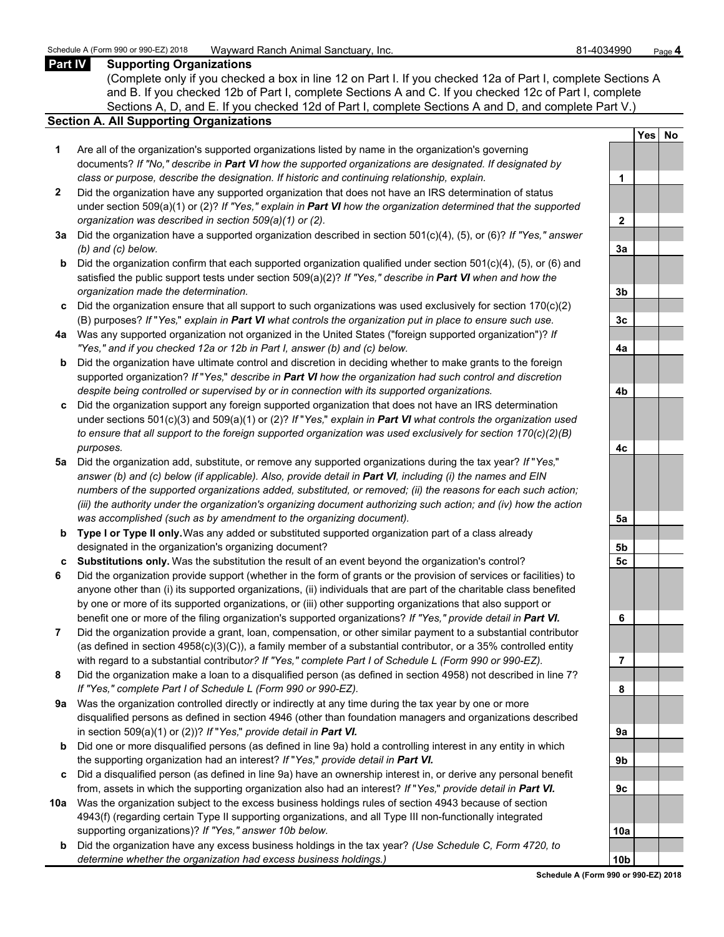## **Part IV Supporting Organizations**

(Complete only if you checked a box in line 12 on Part I. If you checked 12a of Part I, complete Sections A and B. If you checked 12b of Part I, complete Sections A and C. If you checked 12c of Part I, complete Sections A, D, and E. If you checked 12d of Part I, complete Sections A and D, and complete Part V.)

### **Section A. All Supporting Organizations**

- **1** Are all of the organization's supported organizations listed by name in the organization's governing documents? *If "No," describe in Part VI how the supported organizations are designated. If designated by class or purpose, describe the designation. If historic and continuing relationship, explain.* **1**
- **2** Did the organization have any supported organization that does not have an IRS determination of status under section 509(a)(1) or (2)? *If "Yes," explain in Part VI how the organization determined that the supported organization was described in section 509(a)(1) or (2).*
- **3a** Did the organization have a supported organization described in section 501(c)(4), (5), or (6)? *If "Yes," answer (b) and (c) below.* **3a**
- **b** Did the organization confirm that each supported organization qualified under section 501(c)(4), (5), or (6) and satisfied the public support tests under section 509(a)(2)? *If "Yes," describe in Part VI when and how the organization made the determination.* **3b**
- **c** Did the organization ensure that all support to such organizations was used exclusively for section 170(c)(2) (B) purposes? *If* "*Yes,*" *explain in Part VI what controls the organization put in place to ensure such use.* **3c**
- **4a** Was any supported organization not organized in the United States ("foreign supported organization")? *If "Yes," and if you checked 12a or 12b in Part I, answer (b) and (c) below.* **4a**
- **b** Did the organization have ultimate control and discretion in deciding whether to make grants to the foreign supported organization? *If* "*Yes,*" *describe in Part VI how the organization had such control and discretion despite being controlled or supervised by or in connection with its supported organizations.* **4b**
- **c** Did the organization support any foreign supported organization that does not have an IRS determination under sections 501(c)(3) and 509(a)(1) or (2)? *If* "*Yes,*" *explain in Part VI what controls the organization used to ensure that all support to the foreign supported organization was used exclusively for section 170(c)(2)(B) purposes.* **4c**
- **5a** Did the organization add, substitute, or remove any supported organizations during the tax year? *If* "*Yes,*" *answer (b) and (c) below (if applicable). Also, provide detail in Part VI, including (i) the names and EIN numbers of the supported organizations added, substituted, or removed; (ii) the reasons for each such action; (iii) the authority under the organization's organizing document authorizing such action; and (iv) how the action was accomplished (such as by amendment to the organizing document).* **5a**
- **b Type I or Type II only.** Was any added or substituted supported organization part of a class already designated in the organization's organizing document? **5b**
- **c Substitutions only.** Was the substitution the result of an event beyond the organization's control? **5c**
- **6** Did the organization provide support (whether in the form of grants or the provision of services or facilities) to anyone other than (i) its supported organizations, (ii) individuals that are part of the charitable class benefited by one or more of its supported organizations, or (iii) other supporting organizations that also support or benefit one or more of the filing organization's supported organizations? *If "Yes," provide detail in Part VI.* **6**
- **7** Did the organization provide a grant, loan, compensation, or other similar payment to a substantial contributor (as defined in section 4958(c)(3)(C)), a family member of a substantial contributor, or a 35% controlled entity with regard to a substantial contribut*or? If "Yes," complete Part I of Schedule L (Form 990 or 990-EZ).* **7**
- **8** Did the organization make a loan to a disqualified person (as defined in section 4958) not described in line 7? *If "Yes," complete Part I of Schedule L (Form 990 or 990-EZ).* **8**
- **9a** Was the organization controlled directly or indirectly at any time during the tax year by one or more disqualified persons as defined in section 4946 (other than foundation managers and organizations described in section 509(a)(1) or (2))? *If* "*Yes*," *provide detail in Part VI.*
- **b** Did one or more disqualified persons (as defined in line 9a) hold a controlling interest in any entity in which the supporting organization had an interest? *If* "*Yes,*" *provide detail in Part VI.* **9b**
- **c** Did a disqualified person (as defined in line 9a) have an ownership interest in, or derive any personal benefit from, assets in which the supporting organization also had an interest? *If* "Yes," *provide detail in Part VI.*
- **10a** Was the organization subject to the excess business holdings rules of section 4943 because of section 4943(f) (regarding certain Type II supporting organizations, and all Type III non-functionally integrated supporting organizations)? If "Yes," answer 10b below.
	- **b** Did the organization have any excess business holdings in the tax year? *(Use Schedule C, Form 4720, to determine whether the organization had excess business holdings.)* **10b**

|                | Yes <sup></sup> | <u>No</u> |
|----------------|-----------------|-----------|
|                |                 |           |
| 1              |                 |           |
|                |                 |           |
| $\overline{2}$ |                 |           |
|                |                 |           |
| 3a             |                 |           |
|                |                 |           |
| 3 <sub>b</sub> |                 |           |
|                |                 |           |
| 3c             |                 |           |
|                |                 |           |
| 4a             |                 |           |
|                |                 |           |
| 4b             |                 |           |
|                |                 |           |
| 4c             |                 |           |
|                |                 |           |
| 5a             |                 |           |
|                |                 |           |
| <u>5b</u>      |                 |           |
| 5 <u>c</u>     |                 |           |
|                |                 |           |
| 6              |                 |           |
|                |                 |           |
| ľ<br>7         |                 |           |
|                |                 |           |
| 8              |                 |           |
|                |                 |           |
| 9а             |                 |           |
|                |                 |           |
| 9b             |                 |           |
|                |                 |           |
| 9c             |                 |           |
| 10a            |                 |           |
|                |                 |           |
| 0b<br>1        |                 |           |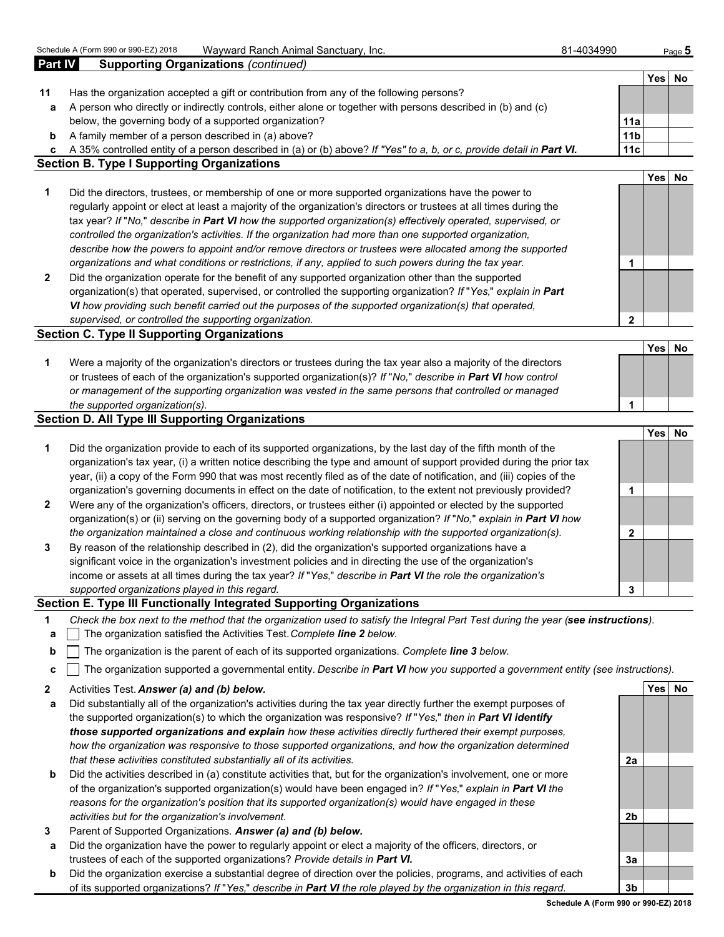| <b>Part IV</b> | <b>Supporting Organizations (continued)</b>                                                                            |                 |            |           |
|----------------|------------------------------------------------------------------------------------------------------------------------|-----------------|------------|-----------|
|                |                                                                                                                        |                 | Yes        | No        |
| 11             | Has the organization accepted a gift or contribution from any of the following persons?                                |                 |            |           |
| a              | A person who directly or indirectly controls, either alone or together with persons described in (b) and (c)           |                 |            |           |
|                | below, the governing body of a supported organization?                                                                 | 11a             |            |           |
| b              | A family member of a person described in (a) above?                                                                    | 11 <sub>b</sub> |            |           |
| c              | A 35% controlled entity of a person described in (a) or (b) above? If "Yes" to a, b, or c, provide detail in Part VI.  | 11c             |            |           |
|                | <b>Section B. Type I Supporting Organizations</b>                                                                      |                 |            |           |
|                |                                                                                                                        |                 | Yes        | <b>No</b> |
| 1              | Did the directors, trustees, or membership of one or more supported organizations have the power to                    |                 |            |           |
|                | regularly appoint or elect at least a majority of the organization's directors or trustees at all times during the     |                 |            |           |
|                | tax year? If "No," describe in Part VI how the supported organization(s) effectively operated, supervised, or          |                 |            |           |
|                | controlled the organization's activities. If the organization had more than one supported organization,                |                 |            |           |
|                | describe how the powers to appoint and/or remove directors or trustees were allocated among the supported              |                 |            |           |
|                | organizations and what conditions or restrictions, if any, applied to such powers during the tax year.                 | 1               |            |           |
| $\mathbf{2}$   | Did the organization operate for the benefit of any supported organization other than the supported                    |                 |            |           |
|                | organization(s) that operated, supervised, or controlled the supporting organization? If "Yes," explain in Part        |                 |            |           |
|                | VI how providing such benefit carried out the purposes of the supported organization(s) that operated,                 |                 |            |           |
|                | supervised, or controlled the supporting organization.                                                                 | $\mathbf{2}$    |            |           |
|                | <b>Section C. Type II Supporting Organizations</b>                                                                     |                 |            |           |
|                |                                                                                                                        |                 | <b>Yes</b> | <b>No</b> |
| 1              | Were a majority of the organization's directors or trustees during the tax year also a majority of the directors       |                 |            |           |
|                | or trustees of each of the organization's supported organization(s)? If "No," describe in Part VI how control          |                 |            |           |
|                | or management of the supporting organization was vested in the same persons that controlled or managed                 |                 |            |           |
|                | the supported organization(s).                                                                                         | 1               |            |           |
|                | <b>Section D. All Type III Supporting Organizations</b>                                                                |                 |            |           |
|                |                                                                                                                        |                 | Yes        | No        |
| 1              | Did the organization provide to each of its supported organizations, by the last day of the fifth month of the         |                 |            |           |
|                | organization's tax year, (i) a written notice describing the type and amount of support provided during the prior tax  |                 |            |           |
|                | year, (ii) a copy of the Form 990 that was most recently filed as of the date of notification, and (iii) copies of the |                 |            |           |
|                | organization's governing documents in effect on the date of notification, to the extent not previously provided?       | 1               |            |           |
| $\mathbf{2}$   | Were any of the organization's officers, directors, or trustees either (i) appointed or elected by the supported       |                 |            |           |
|                | organization(s) or (ii) serving on the governing body of a supported organization? If "No," explain in Part VI how     |                 |            |           |
|                | the organization maintained a close and continuous working relationship with the supported organization(s).            | $\mathbf{2}$    |            |           |
| 3              | By reason of the relationship described in (2), did the organization's supported organizations have a                  |                 |            |           |
|                | significant voice in the organization's investment policies and in directing the use of the organization's             |                 |            |           |
|                | income or assets at all times during the tax year? If "Yes," describe in Part VI the role the organization's           |                 |            |           |
|                | supported organizations played in this regard.                                                                         | 3               |            |           |

# **Section E. Type III Functionally Integrated Supporting Organizations**

- **1** *Check the box next to the method that the organization used to satisfy the Integral Part Test during the year (see instructions).*
- **a** The organization satisfied the Activities Test. *Complete line 2 below.*
- **b** The organization is the parent of each of its supported organizations. *Complete line 3 below.*
- **c** The organization supported a governmental entity. *Describe in Part VI how you supported a government entity (see instructions).*
- **2** Activities Test. *Answer (a) and (b) below.* **Yes No**
- **a** Did substantially all of the organization's activities during the tax year directly further the exempt purposes of the supported organization(s) to which the organization was responsive? *If* "*Yes,*" *then in Part VI identify those supported organizations and explain how these activities directly furthered their exempt purposes, how the organization was responsive to those supported organizations, and how the organization determined that these activities constituted substantially all of its activities.* **2a**
- **b** Did the activities described in (a) constitute activities that, but for the organization's involvement, one or more of the organization's supported organization(s) would have been engaged in? *If* "*Yes,*" *explain in Part VI the reasons for the organization's position that its supported organization(s) would have engaged in these activities but for the organization's involvement.* **2b**
- **3** Parent of Supported Organizations. *Answer (a) and (b) below.*
- **a** Did the organization have the power to regularly appoint or elect a majority of the officers, directors, or trustees of each of the supported organizations? *Provide details in Part VI.* **3a**
- **b** Did the organization exercise a substantial degree of direction over the policies, programs, and activities of each of its supported organizations? *If* "*Yes,*" *describe in Part VI the role played by the organization in this regard.* **3b**

**Schedule A (Form 990 or 990-EZ) 2018**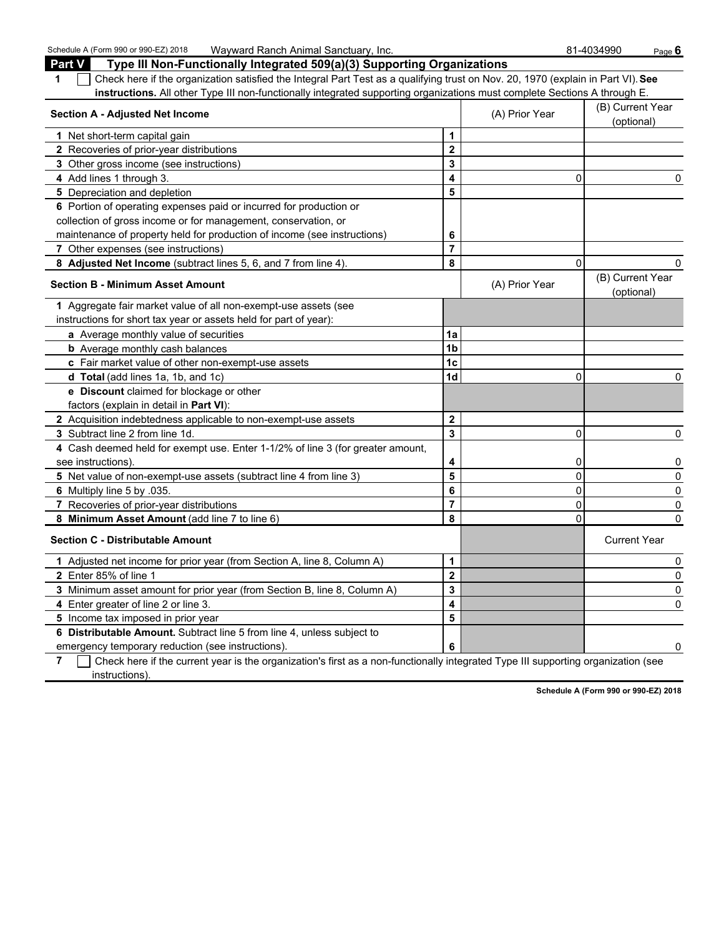Schedule A (Form 990 or 990-EZ) 2018 Wayward Ranch Animal Sanctuary, Inc. 81-4034990 Page 6

| Type III Non-Functionally Integrated 509(a)(3) Supporting Organizations<br>Part V                                                     |                         |                                |                                |
|---------------------------------------------------------------------------------------------------------------------------------------|-------------------------|--------------------------------|--------------------------------|
| Check here if the organization satisfied the Integral Part Test as a qualifying trust on Nov. 20, 1970 (explain in Part VI). See<br>1 |                         |                                |                                |
| instructions. All other Type III non-functionally integrated supporting organizations must complete Sections A through E.             |                         |                                |                                |
| <b>Section A - Adjusted Net Income</b>                                                                                                | (A) Prior Year          | (B) Current Year<br>(optional) |                                |
| 1 Net short-term capital gain                                                                                                         | 1                       |                                |                                |
| 2 Recoveries of prior-year distributions                                                                                              | $\mathbf{2}$            |                                |                                |
| 3 Other gross income (see instructions)                                                                                               | 3                       |                                |                                |
| 4 Add lines 1 through 3.                                                                                                              | 4                       | 0                              | 0                              |
| 5 Depreciation and depletion                                                                                                          | 5                       |                                |                                |
| 6 Portion of operating expenses paid or incurred for production or                                                                    |                         |                                |                                |
| collection of gross income or for management, conservation, or                                                                        |                         |                                |                                |
| maintenance of property held for production of income (see instructions)                                                              | 6                       |                                |                                |
| 7 Other expenses (see instructions)                                                                                                   | $\overline{7}$          |                                |                                |
| 8 Adjusted Net Income (subtract lines 5, 6, and 7 from line 4).                                                                       | 8                       | $\mathbf{0}$                   | 0                              |
| <b>Section B - Minimum Asset Amount</b>                                                                                               |                         | (A) Prior Year                 | (B) Current Year<br>(optional) |
| 1 Aggregate fair market value of all non-exempt-use assets (see                                                                       |                         |                                |                                |
| instructions for short tax year or assets held for part of year):                                                                     |                         |                                |                                |
| a Average monthly value of securities                                                                                                 | 1a                      |                                |                                |
| <b>b</b> Average monthly cash balances                                                                                                | 1 <sub>b</sub>          |                                |                                |
| c Fair market value of other non-exempt-use assets                                                                                    | 1c                      |                                |                                |
| d Total (add lines 1a, 1b, and 1c)                                                                                                    | 1d                      | 0                              | 0                              |
| e Discount claimed for blockage or other                                                                                              |                         |                                |                                |
| factors (explain in detail in Part VI):                                                                                               |                         |                                |                                |
| 2 Acquisition indebtedness applicable to non-exempt-use assets                                                                        | $\mathbf{2}$            |                                |                                |
| 3 Subtract line 2 from line 1d.                                                                                                       | 3                       | 0                              | 0                              |
| 4 Cash deemed held for exempt use. Enter 1-1/2% of line 3 (for greater amount,                                                        |                         |                                |                                |
| see instructions).                                                                                                                    | 4                       | 0                              | 0                              |
| 5 Net value of non-exempt-use assets (subtract line 4 from line 3)                                                                    | 5                       | 0                              | 0                              |
| 6 Multiply line 5 by .035.                                                                                                            | 6                       | 0                              | 0                              |
| 7 Recoveries of prior-year distributions                                                                                              | $\overline{7}$          | 0                              | 0                              |
| 8 Minimum Asset Amount (add line 7 to line 6)                                                                                         | 8                       | $\Omega$                       | 0                              |
| <b>Section C - Distributable Amount</b>                                                                                               |                         |                                | <b>Current Year</b>            |
| 1 Adjusted net income for prior year (from Section A, line 8, Column A)                                                               | 1                       |                                | 0                              |
| 2 Enter 85% of line 1                                                                                                                 | $\overline{\mathbf{2}}$ |                                | 0                              |
| 3 Minimum asset amount for prior year (from Section B, line 8, Column A)                                                              | 3                       |                                | 0                              |
| 4 Enter greater of line 2 or line 3.                                                                                                  | 4                       |                                | 0                              |
| 5 Income tax imposed in prior year                                                                                                    | 5                       |                                |                                |
| 6 Distributable Amount. Subtract line 5 from line 4, unless subject to                                                                |                         |                                |                                |
| emergency temporary reduction (see instructions).                                                                                     | 6                       |                                | 0                              |

**7** Check here if the current year is the organization's first as a non-functionally integrated Type III supporting organization (see instructions).

**Schedule A (Form 990 or 990-EZ) 2018**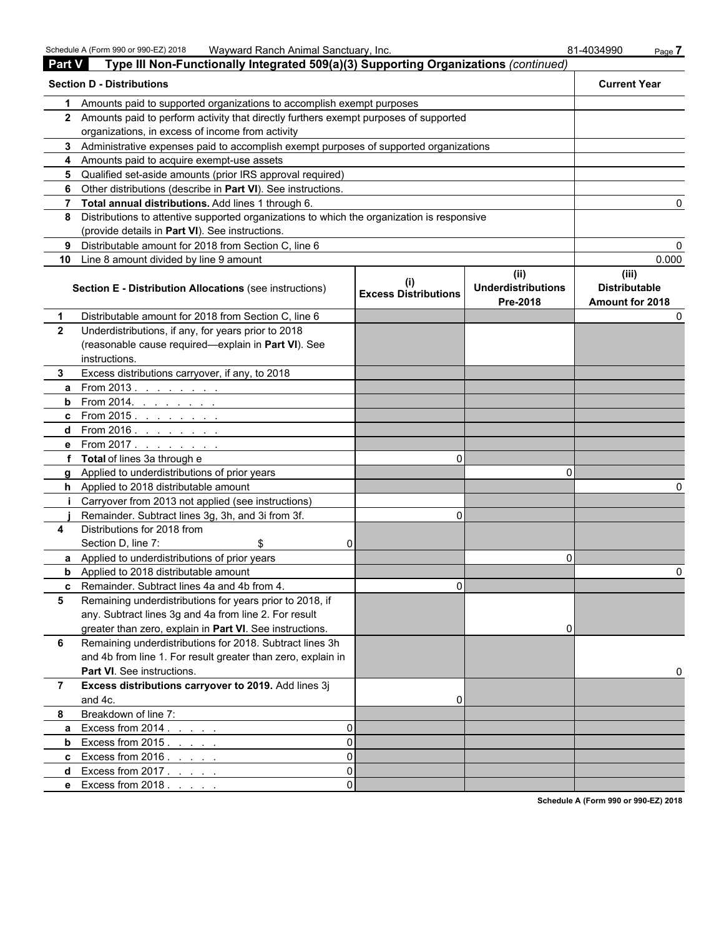Schedule A (Form 990 or 990-EZ) 2018 Wayward Ranch Animal Sanctuary, Inc. 81-4034990 Page **7** 

| Part V       | Type III Non-Functionally Integrated 509(a)(3) Supporting Organizations (continued)        |                                         |                                               |                                                  |
|--------------|--------------------------------------------------------------------------------------------|-----------------------------------------|-----------------------------------------------|--------------------------------------------------|
|              | <b>Section D - Distributions</b>                                                           |                                         |                                               | <b>Current Year</b>                              |
| 1            | Amounts paid to supported organizations to accomplish exempt purposes                      |                                         |                                               |                                                  |
|              | 2 Amounts paid to perform activity that directly furthers exempt purposes of supported     |                                         |                                               |                                                  |
|              | organizations, in excess of income from activity                                           |                                         |                                               |                                                  |
| 3            | Administrative expenses paid to accomplish exempt purposes of supported organizations      |                                         |                                               |                                                  |
| 4            | Amounts paid to acquire exempt-use assets                                                  |                                         |                                               |                                                  |
| 5            | Qualified set-aside amounts (prior IRS approval required)                                  |                                         |                                               |                                                  |
| 6            | Other distributions (describe in Part VI). See instructions.                               |                                         |                                               |                                                  |
| 7            | Total annual distributions. Add lines 1 through 6.                                         |                                         |                                               | 0                                                |
| 8            | Distributions to attentive supported organizations to which the organization is responsive |                                         |                                               |                                                  |
|              | (provide details in Part VI). See instructions.                                            |                                         |                                               |                                                  |
| 9            | Distributable amount for 2018 from Section C, line 6                                       |                                         |                                               | 0                                                |
| 10           | Line 8 amount divided by line 9 amount                                                     |                                         |                                               | 0.000                                            |
|              | Section E - Distribution Allocations (see instructions)                                    | $\sf II$<br><b>Excess Distributions</b> | (ii)<br><b>Underdistributions</b><br>Pre-2018 | (iii)<br><b>Distributable</b><br>Amount for 2018 |
| 1            | Distributable amount for 2018 from Section C, line 6                                       |                                         |                                               | 0                                                |
| $\mathbf{2}$ | Underdistributions, if any, for years prior to 2018                                        |                                         |                                               |                                                  |
|              | (reasonable cause required-explain in Part VI). See                                        |                                         |                                               |                                                  |
|              | instructions.                                                                              |                                         |                                               |                                                  |
| 3.           | Excess distributions carryover, if any, to 2018                                            |                                         |                                               |                                                  |
| a            | From 2013.                                                                                 |                                         |                                               |                                                  |
| b            | From 2014. $\ldots$ $\ldots$ $\ldots$                                                      |                                         |                                               |                                                  |
| c            | From 2015. <u>.</u>                                                                        |                                         |                                               |                                                  |
| d            | From 2016. <u>.</u>                                                                        |                                         |                                               |                                                  |
| е            | From 2017.                                                                                 |                                         |                                               |                                                  |
|              | <b>Total</b> of lines 3a through e                                                         | $\Omega$                                |                                               |                                                  |
| a            | Applied to underdistributions of prior years                                               |                                         | n                                             |                                                  |
| h.           | Applied to 2018 distributable amount                                                       |                                         |                                               |                                                  |
|              | Carryover from 2013 not applied (see instructions)                                         |                                         |                                               |                                                  |
|              | Remainder. Subtract lines 3g, 3h, and 3i from 3f.                                          | $\Omega$                                |                                               |                                                  |
| 4            | Distributions for 2018 from                                                                |                                         |                                               |                                                  |
|              | Section D, line 7:<br>\$<br>0                                                              |                                         |                                               |                                                  |
| a            | Applied to underdistributions of prior years                                               |                                         | 0                                             |                                                  |
| b            | Applied to 2018 distributable amount                                                       |                                         |                                               | 0                                                |
| c            | Remainder. Subtract lines 4a and 4b from 4.                                                | 0                                       |                                               |                                                  |
| 5            | Remaining underdistributions for years prior to 2018, if                                   |                                         |                                               |                                                  |
|              | any. Subtract lines 3g and 4a from line 2. For result                                      |                                         |                                               |                                                  |
|              | greater than zero, explain in Part VI. See instructions.                                   |                                         | 0                                             |                                                  |
| 6            | Remaining underdistributions for 2018. Subtract lines 3h                                   |                                         |                                               |                                                  |
|              | and 4b from line 1. For result greater than zero, explain in                               |                                         |                                               |                                                  |
|              | Part VI. See instructions.                                                                 |                                         |                                               | 0                                                |
| 7            | Excess distributions carryover to 2019. Add lines 3j                                       |                                         |                                               |                                                  |
|              | and 4c.                                                                                    | 0                                       |                                               |                                                  |
| 8            | Breakdown of line 7:                                                                       |                                         |                                               |                                                  |
| a            | Excess from 2014.<br>$\Omega$                                                              |                                         |                                               |                                                  |
| b            | $\Omega$<br>Excess from 2015.                                                              |                                         |                                               |                                                  |
| c            | $\Omega$<br>Excess from 2016.                                                              |                                         |                                               |                                                  |
| d            | $\Omega$<br>Excess from 2017. $\ldots$                                                     |                                         |                                               |                                                  |
|              | $\Omega$<br>e Excess from 2018.                                                            |                                         |                                               |                                                  |

**Schedule A (Form 990 or 990-EZ) 2018**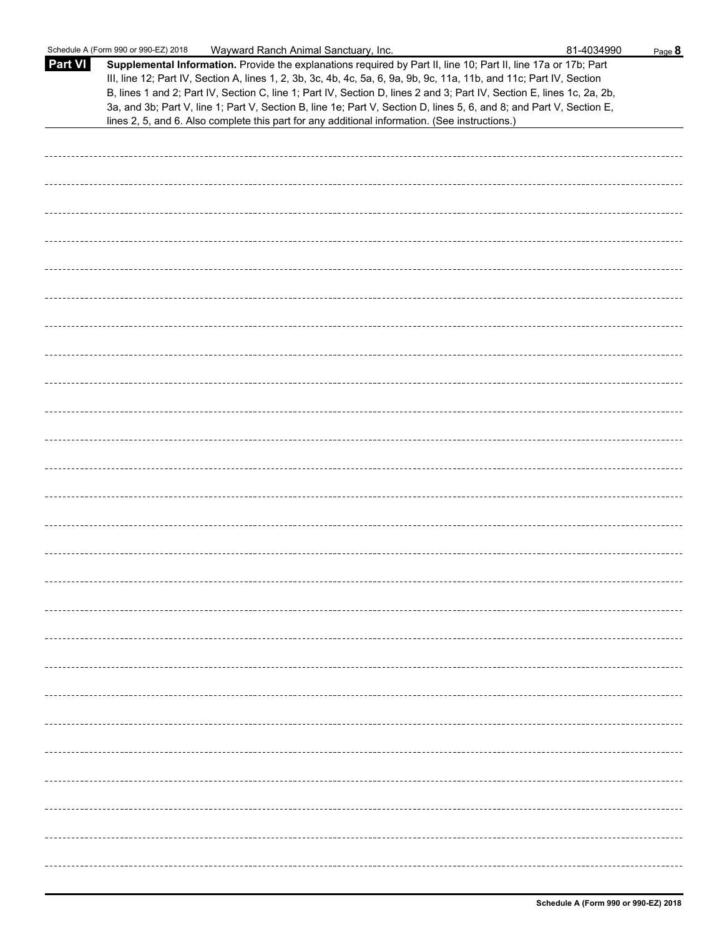|                | Schedule A (Form 990 or 990-EZ) 2018<br>Wayward Ranch Animal Sanctuary, Inc.                                                                                                                                                                                                                                                                                                                                                                                                                                                                                                                | 81-4034990 | Page 8 |
|----------------|---------------------------------------------------------------------------------------------------------------------------------------------------------------------------------------------------------------------------------------------------------------------------------------------------------------------------------------------------------------------------------------------------------------------------------------------------------------------------------------------------------------------------------------------------------------------------------------------|------------|--------|
| <b>Part VI</b> | Supplemental Information. Provide the explanations required by Part II, line 10; Part II, line 17a or 17b; Part<br>III, line 12; Part IV, Section A, lines 1, 2, 3b, 3c, 4b, 4c, 5a, 6, 9a, 9b, 9c, 11a, 11b, and 11c; Part IV, Section<br>B, lines 1 and 2; Part IV, Section C, line 1; Part IV, Section D, lines 2 and 3; Part IV, Section E, lines 1c, 2a, 2b,<br>3a, and 3b; Part V, line 1; Part V, Section B, line 1e; Part V, Section D, lines 5, 6, and 8; and Part V, Section E,<br>lines 2, 5, and 6. Also complete this part for any additional information. (See instructions.) |            |        |
|                |                                                                                                                                                                                                                                                                                                                                                                                                                                                                                                                                                                                             |            |        |
|                |                                                                                                                                                                                                                                                                                                                                                                                                                                                                                                                                                                                             |            |        |
|                |                                                                                                                                                                                                                                                                                                                                                                                                                                                                                                                                                                                             |            |        |
|                |                                                                                                                                                                                                                                                                                                                                                                                                                                                                                                                                                                                             |            |        |
|                |                                                                                                                                                                                                                                                                                                                                                                                                                                                                                                                                                                                             |            |        |
|                |                                                                                                                                                                                                                                                                                                                                                                                                                                                                                                                                                                                             |            |        |
|                |                                                                                                                                                                                                                                                                                                                                                                                                                                                                                                                                                                                             |            |        |
|                |                                                                                                                                                                                                                                                                                                                                                                                                                                                                                                                                                                                             |            |        |
|                |                                                                                                                                                                                                                                                                                                                                                                                                                                                                                                                                                                                             |            |        |
|                |                                                                                                                                                                                                                                                                                                                                                                                                                                                                                                                                                                                             |            |        |
|                |                                                                                                                                                                                                                                                                                                                                                                                                                                                                                                                                                                                             |            |        |
|                |                                                                                                                                                                                                                                                                                                                                                                                                                                                                                                                                                                                             |            |        |
|                |                                                                                                                                                                                                                                                                                                                                                                                                                                                                                                                                                                                             |            |        |
|                |                                                                                                                                                                                                                                                                                                                                                                                                                                                                                                                                                                                             |            |        |
|                |                                                                                                                                                                                                                                                                                                                                                                                                                                                                                                                                                                                             |            |        |
|                |                                                                                                                                                                                                                                                                                                                                                                                                                                                                                                                                                                                             |            |        |
|                |                                                                                                                                                                                                                                                                                                                                                                                                                                                                                                                                                                                             |            |        |
|                |                                                                                                                                                                                                                                                                                                                                                                                                                                                                                                                                                                                             |            |        |
|                |                                                                                                                                                                                                                                                                                                                                                                                                                                                                                                                                                                                             |            |        |
|                |                                                                                                                                                                                                                                                                                                                                                                                                                                                                                                                                                                                             |            |        |
|                |                                                                                                                                                                                                                                                                                                                                                                                                                                                                                                                                                                                             |            |        |
|                |                                                                                                                                                                                                                                                                                                                                                                                                                                                                                                                                                                                             |            |        |
|                |                                                                                                                                                                                                                                                                                                                                                                                                                                                                                                                                                                                             |            |        |
|                |                                                                                                                                                                                                                                                                                                                                                                                                                                                                                                                                                                                             |            |        |
|                |                                                                                                                                                                                                                                                                                                                                                                                                                                                                                                                                                                                             |            |        |
|                |                                                                                                                                                                                                                                                                                                                                                                                                                                                                                                                                                                                             |            |        |
|                |                                                                                                                                                                                                                                                                                                                                                                                                                                                                                                                                                                                             |            |        |
|                |                                                                                                                                                                                                                                                                                                                                                                                                                                                                                                                                                                                             |            |        |
|                |                                                                                                                                                                                                                                                                                                                                                                                                                                                                                                                                                                                             |            |        |
|                |                                                                                                                                                                                                                                                                                                                                                                                                                                                                                                                                                                                             |            |        |
|                |                                                                                                                                                                                                                                                                                                                                                                                                                                                                                                                                                                                             |            |        |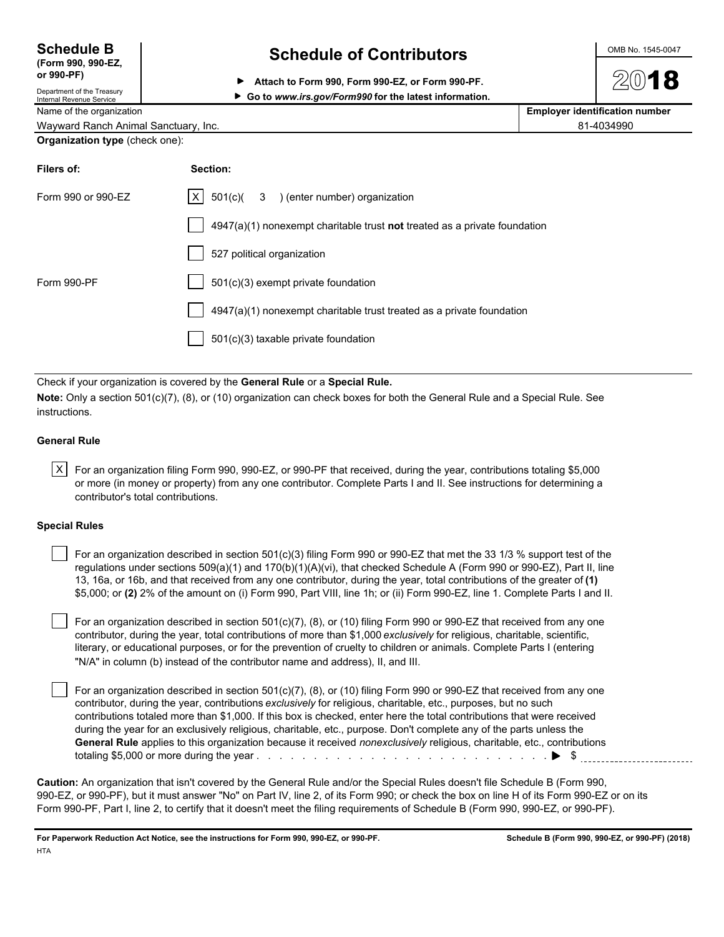| <b>Schedule B</b>  |  |
|--------------------|--|
| (Form 990, 990-EZ, |  |

# Department of the Treasury

**Schedule of Contributors**  $\frac{\text{OMB No. 1545-0047}}{}$ 

**or 990-PF) Attach to Form 990, Form 990-EZ, or Form 990-PF.**

# ▶ Go to www.irs.gov/Form990 for the latest information.

Name of the organization<br> **Name of the organization**<br> **Employer identification number** 

Wayward Ranch Animal Sanctuary, Inc. 81-4034990

| Organization type (check one): |  |
|--------------------------------|--|
|--------------------------------|--|

| Filers of:         | Section:                                                                    |
|--------------------|-----------------------------------------------------------------------------|
| Form 990 or 990-EZ | $ X $ 501(c)( 3 ) (enter number) organization                               |
|                    | $4947(a)(1)$ nonexempt charitable trust not treated as a private foundation |
|                    | 527 political organization                                                  |
| Form 990-PF        | 501(c)(3) exempt private foundation                                         |
|                    | 4947(a)(1) nonexempt charitable trust treated as a private foundation       |
|                    | 501(c)(3) taxable private foundation                                        |

Check if your organization is covered by the **General Rule** or a **Special Rule.**

**Note:** Only a section 501(c)(7), (8), or (10) organization can check boxes for both the General Rule and a Special Rule. See instructions.

### **General Rule**

 $|X|$  For an organization filing Form 990, 990-EZ, or 990-PF that received, during the year, contributions totaling \$5,000 or more (in money or property) from any one contributor. Complete Parts I and II. See instructions for determining a contributor's total contributions.

### **Special Rules**

 For an organization described in section 501(c)(3) filing Form 990 or 990-EZ that met the 33 1/3 % support test of the regulations under sections 509(a)(1) and 170(b)(1)(A)(vi), that checked Schedule A (Form 990 or 990-EZ), Part II, line 13, 16a, or 16b, and that received from any one contributor, during the year, total contributions of the greater of **(1)** \$5,000; or **(2)** 2% of the amount on (i) Form 990, Part VIII, line 1h; or (ii) Form 990-EZ, line 1. Complete Parts I and II.

 For an organization described in section 501(c)(7), (8), or (10) filing Form 990 or 990-EZ that received from any one contributor, during the year, total contributions of more than \$1,000 *exclusively* for religious, charitable, scientific, literary, or educational purposes, or for the prevention of cruelty to children or animals. Complete Parts I (entering "N/A" in column (b) instead of the contributor name and address), II, and III.

 For an organization described in section 501(c)(7), (8), or (10) filing Form 990 or 990-EZ that received from any one contributor, during the year, contributions *exclusively* for religious, charitable, etc., purposes, but no such contributions totaled more than \$1,000. If this box is checked, enter here the total contributions that were received during the year for an exclusively religious, charitable, etc., purpose. Don't complete any of the parts unless the **General Rule** applies to this organization because it received *nonexclusively* religious, charitable, etc., contributions totaling \$5,000 or more during the year . . . . . . . . . . . . . . . . . . . . . . . . . . . . . . . . . . . . . . . . . . . . . . . . . . . \$

**Caution:** An organization that isn't covered by the General Rule and/or the Special Rules doesn't file Schedule B (Form 990, 990-EZ, or 990-PF), but it must answer "No" on Part IV, line 2, of its Form 990; or check the box on line H of its Form 990-EZ or on its Form 990-PF, Part I, line 2, to certify that it doesn't meet the filing requirements of Schedule B (Form 990, 990-EZ, or 990-PF).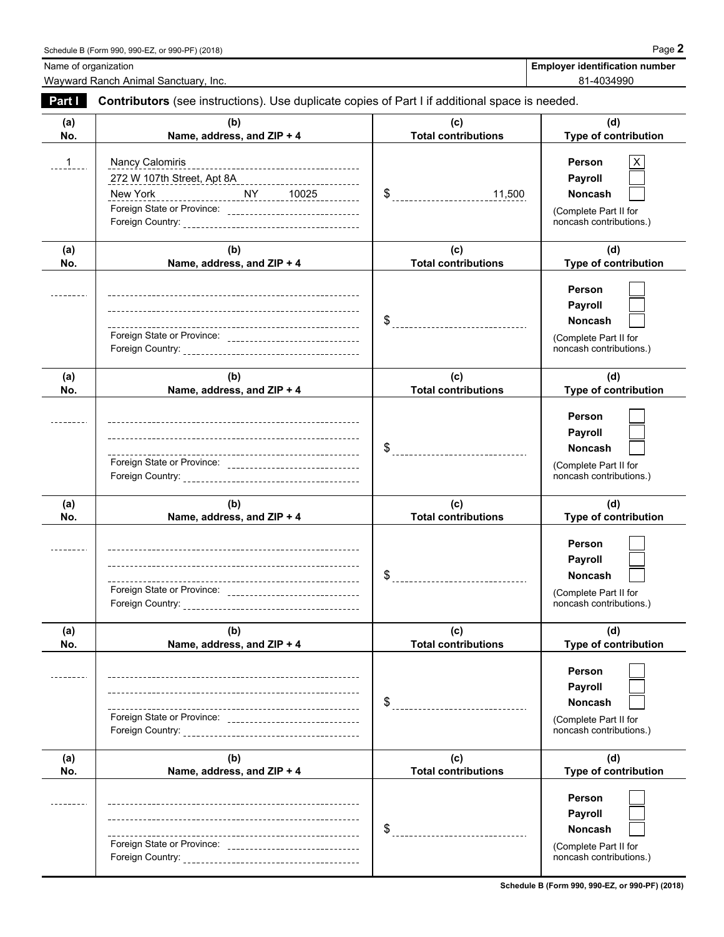Wayward Ranch Animal Sanctuary, Inc. **81-4034990 81-4034990** 

| Part I     | Contributors (see instructions). Use duplicate copies of Part I if additional space is needed.                                                                  |                                       |                                                                                                     |  |  |  |
|------------|-----------------------------------------------------------------------------------------------------------------------------------------------------------------|---------------------------------------|-----------------------------------------------------------------------------------------------------|--|--|--|
| (a)<br>No. | (b)<br>Name, address, and ZIP + 4                                                                                                                               | (c)<br><b>Total contributions</b>     | (d)<br>Type of contribution                                                                         |  |  |  |
| $1 \quad$  | Nancy Calomiris<br>____________________________________<br>272 W 107th Street, Apt 8A<br>New York<br>Foreign State or Province: _______________________________ | $\frac{11,500}{1}$                    | X<br><b>Person</b><br>Payroll<br><b>Noncash</b><br>(Complete Part II for<br>noncash contributions.) |  |  |  |
| (a)<br>No. | (b)<br>Name, address, and ZIP + 4                                                                                                                               | (c)<br><b>Total contributions</b>     | (d)<br>Type of contribution                                                                         |  |  |  |
|            | Foreign State or Province: __________________________________                                                                                                   |                                       | Person<br>Payroll<br><b>Noncash</b><br>(Complete Part II for<br>noncash contributions.)             |  |  |  |
| (a)<br>No. | (b)<br>Name, address, and ZIP + 4                                                                                                                               | (c)<br><b>Total contributions</b>     | (d)<br>Type of contribution                                                                         |  |  |  |
|            | Foreign State or Province: _________________________________                                                                                                    |                                       | Person<br>Payroll<br><b>Noncash</b><br>(Complete Part II for<br>noncash contributions.)             |  |  |  |
| (a)<br>No. | (b)<br>Name, address, and ZIP + 4                                                                                                                               | (c)<br><b>Total contributions</b>     | (d)<br>Type of contribution                                                                         |  |  |  |
|            | Foreign State or Province: ______________________________                                                                                                       |                                       | Person<br>Payroll<br><b>Noncash</b><br>(Complete Part II for<br>noncash contributions.)             |  |  |  |
| (a)<br>No. | (b)<br>Name, address, and ZIP + 4                                                                                                                               | (c)<br><b>Total contributions</b>     | (d)<br>Type of contribution                                                                         |  |  |  |
|            | Foreign State or Province: _________________________________                                                                                                    | \$                                    | Person<br>Payroll<br><b>Noncash</b><br>(Complete Part II for<br>noncash contributions.)             |  |  |  |
| (a)<br>No. | (b)<br>Name, address, and ZIP + 4                                                                                                                               | (c)<br><b>Total contributions</b>     | (d)<br>Type of contribution                                                                         |  |  |  |
|            | Foreign State or Province: _________________________________                                                                                                    | \$<br>------------------------------- | Person<br><b>Payroll</b><br><b>Noncash</b><br>(Complete Part II for<br>noncash contributions.)      |  |  |  |

**Schedule B (Form 990, 990-EZ, or 990-PF) (2018)**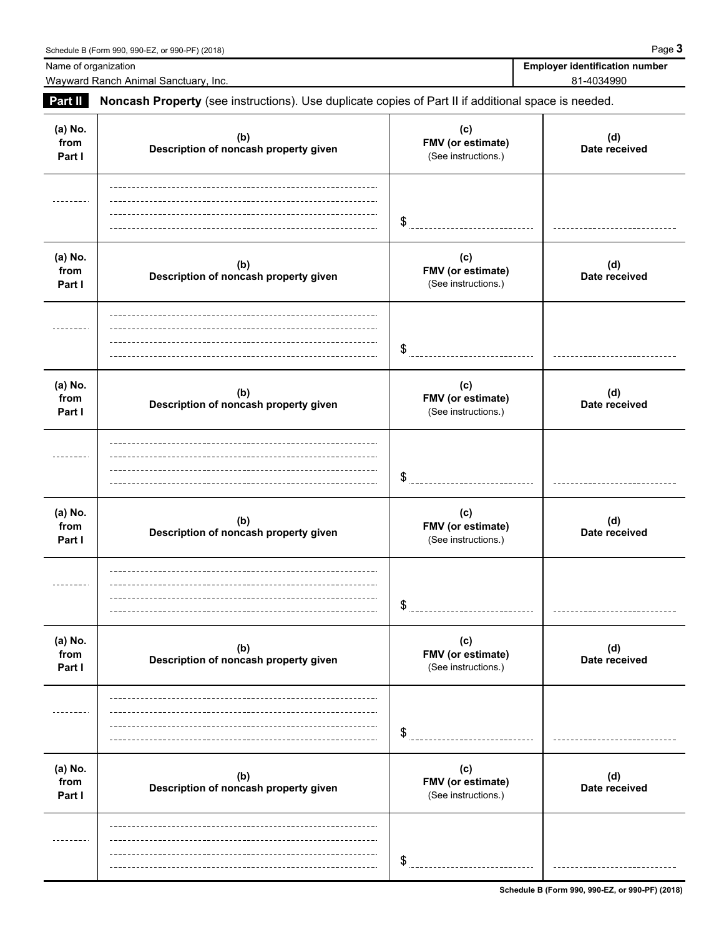| Name of organization      | Schedule B (Form 990, 990-EZ, or 990-PF) (2018)<br>Wayward Ranch Animal Sanctuary, Inc.             |                                                 | Page 3<br><b>Employer identification number</b><br>81-4034990 |
|---------------------------|-----------------------------------------------------------------------------------------------------|-------------------------------------------------|---------------------------------------------------------------|
| Part II                   | Noncash Property (see instructions). Use duplicate copies of Part II if additional space is needed. |                                                 |                                                               |
| (a) No.<br>from<br>Part I | (b)<br>Description of noncash property given                                                        | (c)<br>FMV (or estimate)<br>(See instructions.) | (d)<br>Date received                                          |
| -------                   |                                                                                                     | \$                                              |                                                               |
| (a) No.<br>from<br>Part I | (b)<br>Description of noncash property given                                                        | (c)<br>FMV (or estimate)<br>(See instructions.) | (d)<br>Date received                                          |
|                           |                                                                                                     | \$                                              |                                                               |
| (a) No.<br>from<br>Part I | (b)<br>Description of noncash property given                                                        | (c)<br>FMV (or estimate)<br>(See instructions.) | (d)<br>Date received                                          |
|                           |                                                                                                     | \$                                              |                                                               |
| (a) No.<br>from<br>Part I | (b)<br>Description of noncash property given                                                        | (c)<br>FMV (or estimate)<br>(See instructions.) | (d)<br>Date received                                          |
|                           |                                                                                                     | \$                                              |                                                               |
| (a) No.<br>from<br>Part I | (b)<br>Description of noncash property given                                                        | (c)<br>FMV (or estimate)<br>(See instructions.) | (d)<br>Date received                                          |
|                           |                                                                                                     | \$                                              |                                                               |

------

 $$$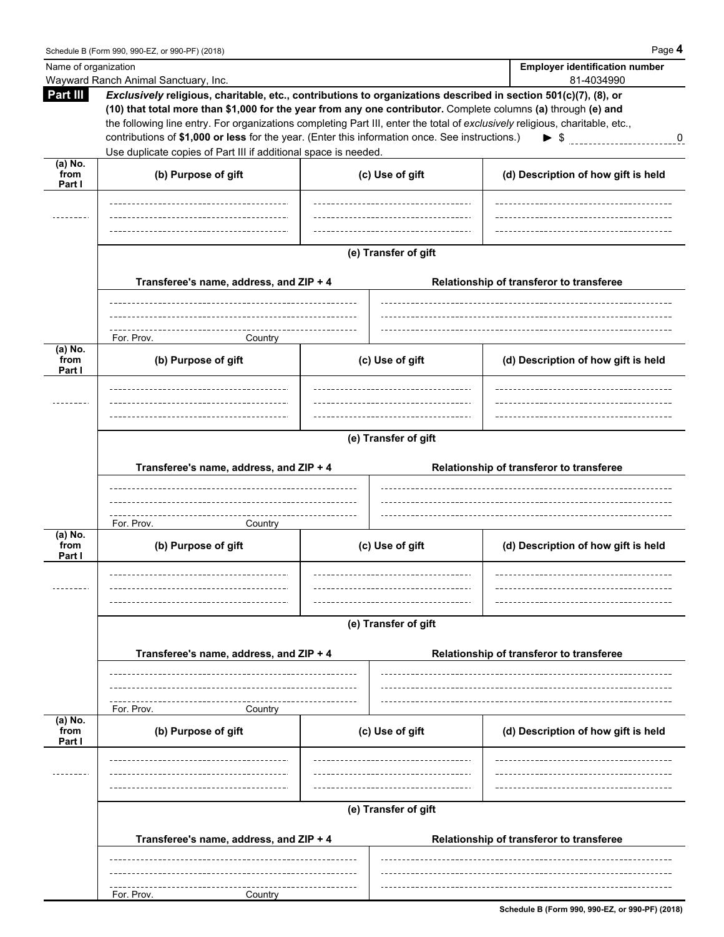| Name of organization |                                                                                                                                                                                                                                  |  |                                  |  | <b>Employer identification number</b>    |
|----------------------|----------------------------------------------------------------------------------------------------------------------------------------------------------------------------------------------------------------------------------|--|----------------------------------|--|------------------------------------------|
| Part III             | Wayward Ranch Animal Sanctuary, Inc.                                                                                                                                                                                             |  |                                  |  | 81-4034990                               |
|                      | Exclusively religious, charitable, etc., contributions to organizations described in section 501(c)(7), (8), or<br>(10) that total more than \$1,000 for the year from any one contributor. Complete columns (a) through (e) and |  |                                  |  |                                          |
|                      | the following line entry. For organizations completing Part III, enter the total of exclusively religious, charitable, etc.,                                                                                                     |  |                                  |  |                                          |
|                      | contributions of \$1,000 or less for the year. (Enter this information once. See instructions.)                                                                                                                                  |  |                                  |  | $\bf{0}$                                 |
|                      | Use duplicate copies of Part III if additional space is needed.                                                                                                                                                                  |  |                                  |  |                                          |
| $(a)$ No.            |                                                                                                                                                                                                                                  |  |                                  |  |                                          |
| from<br>Part I       | (b) Purpose of gift                                                                                                                                                                                                              |  | (c) Use of gift                  |  | (d) Description of how gift is held      |
|                      |                                                                                                                                                                                                                                  |  |                                  |  |                                          |
|                      |                                                                                                                                                                                                                                  |  |                                  |  |                                          |
|                      |                                                                                                                                                                                                                                  |  |                                  |  |                                          |
|                      |                                                                                                                                                                                                                                  |  |                                  |  |                                          |
|                      |                                                                                                                                                                                                                                  |  | (e) Transfer of gift             |  |                                          |
|                      |                                                                                                                                                                                                                                  |  |                                  |  |                                          |
|                      | Transferee's name, address, and ZIP + 4                                                                                                                                                                                          |  |                                  |  | Relationship of transferor to transferee |
|                      |                                                                                                                                                                                                                                  |  |                                  |  |                                          |
|                      |                                                                                                                                                                                                                                  |  |                                  |  |                                          |
|                      | For. Prov.<br>Country                                                                                                                                                                                                            |  |                                  |  |                                          |
| (a) No.<br>from      | (b) Purpose of gift                                                                                                                                                                                                              |  | (c) Use of gift                  |  | (d) Description of how gift is held      |
| Part I               |                                                                                                                                                                                                                                  |  |                                  |  |                                          |
|                      | ______________________________________                                                                                                                                                                                           |  | -------------------------------- |  |                                          |
|                      |                                                                                                                                                                                                                                  |  |                                  |  |                                          |
|                      |                                                                                                                                                                                                                                  |  |                                  |  |                                          |
|                      | (e) Transfer of gift                                                                                                                                                                                                             |  |                                  |  |                                          |
|                      |                                                                                                                                                                                                                                  |  |                                  |  |                                          |
|                      | Transferee's name, address, and ZIP + 4                                                                                                                                                                                          |  |                                  |  | Relationship of transferor to transferee |
|                      |                                                                                                                                                                                                                                  |  |                                  |  |                                          |
|                      |                                                                                                                                                                                                                                  |  |                                  |  |                                          |
|                      |                                                                                                                                                                                                                                  |  |                                  |  |                                          |
| $(a)$ No.            | For. Prov.<br>Country                                                                                                                                                                                                            |  |                                  |  |                                          |
| from<br>Part I       | (b) Purpose of gift                                                                                                                                                                                                              |  | (c) Use of gift                  |  | (d) Description of how gift is held      |
|                      |                                                                                                                                                                                                                                  |  |                                  |  |                                          |
|                      |                                                                                                                                                                                                                                  |  |                                  |  |                                          |
|                      |                                                                                                                                                                                                                                  |  |                                  |  |                                          |
|                      |                                                                                                                                                                                                                                  |  |                                  |  |                                          |
|                      | (e) Transfer of gift                                                                                                                                                                                                             |  |                                  |  |                                          |
|                      | Transferee's name, address, and ZIP + 4                                                                                                                                                                                          |  |                                  |  | Relationship of transferor to transferee |
|                      |                                                                                                                                                                                                                                  |  |                                  |  |                                          |
|                      |                                                                                                                                                                                                                                  |  |                                  |  |                                          |
|                      |                                                                                                                                                                                                                                  |  |                                  |  |                                          |
|                      | For. Prov.<br>Country                                                                                                                                                                                                            |  |                                  |  |                                          |
| (a) No.<br>from      | (b) Purpose of gift                                                                                                                                                                                                              |  | (c) Use of gift                  |  | (d) Description of how gift is held      |
| Part I               |                                                                                                                                                                                                                                  |  |                                  |  |                                          |
|                      |                                                                                                                                                                                                                                  |  |                                  |  |                                          |
|                      |                                                                                                                                                                                                                                  |  |                                  |  |                                          |
|                      |                                                                                                                                                                                                                                  |  |                                  |  |                                          |
|                      |                                                                                                                                                                                                                                  |  | (e) Transfer of gift             |  |                                          |
|                      |                                                                                                                                                                                                                                  |  |                                  |  |                                          |
|                      | Transferee's name, address, and ZIP + 4                                                                                                                                                                                          |  |                                  |  | Relationship of transferor to transferee |
|                      |                                                                                                                                                                                                                                  |  |                                  |  |                                          |
|                      |                                                                                                                                                                                                                                  |  |                                  |  |                                          |
|                      | For. Prov.<br>Country                                                                                                                                                                                                            |  |                                  |  |                                          |
|                      |                                                                                                                                                                                                                                  |  |                                  |  |                                          |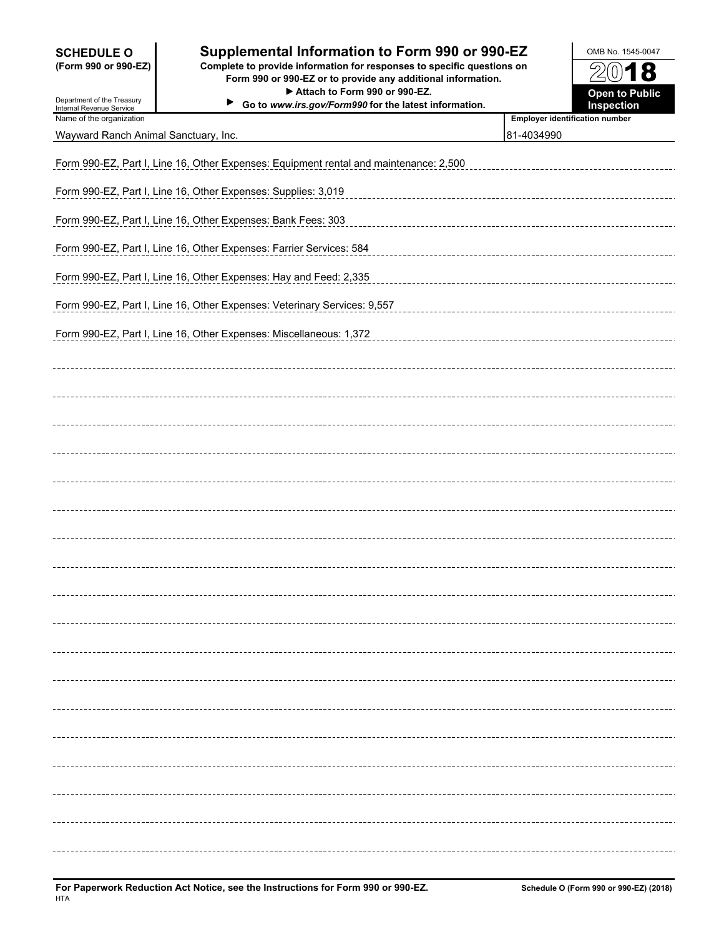# **SCHEDULE O Supplemental Information to Form 990 or 990-EZ** OMB No. 1545-0047

**(Form 990 or 990-EZ) Complete to provide information for responses to specific questions on Form 990 or 990-EZ or to provide any additional information.** ▶ Attach to Form 990 or 990-EZ. **Open to Public** 

**Go to** *www.irs.gov/Form990* **for the latest information. Inspection**



| Department of the Treasury<br>Internal Revenue Service | ▶<br>Go to www.irs.gov/Form990 for the latest information.                            |                                       | Inspection       |
|--------------------------------------------------------|---------------------------------------------------------------------------------------|---------------------------------------|------------------|
| Name of the organization                               |                                                                                       | <b>Employer identification number</b> |                  |
| Wayward Ranch Animal Sanctuary, Inc.                   |                                                                                       | 81-4034990                            |                  |
|                                                        |                                                                                       |                                       |                  |
|                                                        | Form 990-EZ, Part I, Line 16, Other Expenses: Equipment rental and maintenance: 2,500 |                                       |                  |
|                                                        |                                                                                       |                                       |                  |
|                                                        | Form 990-EZ, Part I, Line 16, Other Expenses: Supplies: 3,019                         |                                       |                  |
|                                                        |                                                                                       |                                       |                  |
|                                                        | Form 990-EZ, Part I, Line 16, Other Expenses: Bank Fees: 303                          |                                       |                  |
|                                                        |                                                                                       |                                       |                  |
|                                                        | Form 990-EZ, Part I, Line 16, Other Expenses: Farrier Services: 584                   |                                       |                  |
|                                                        |                                                                                       |                                       |                  |
|                                                        | Form 990-EZ, Part I, Line 16, Other Expenses: Hay and Feed: 2,335                     |                                       |                  |
|                                                        |                                                                                       |                                       |                  |
|                                                        | Form 990-EZ, Part I, Line 16, Other Expenses: Veterinary Services: 9,557              |                                       |                  |
|                                                        |                                                                                       |                                       |                  |
|                                                        | Form 990-EZ, Part I, Line 16, Other Expenses: Miscellaneous: 1,372                    |                                       |                  |
|                                                        |                                                                                       |                                       |                  |
|                                                        |                                                                                       |                                       |                  |
|                                                        |                                                                                       |                                       |                  |
|                                                        |                                                                                       |                                       |                  |
|                                                        |                                                                                       |                                       |                  |
|                                                        |                                                                                       |                                       |                  |
|                                                        |                                                                                       |                                       |                  |
|                                                        |                                                                                       |                                       |                  |
|                                                        |                                                                                       |                                       |                  |
|                                                        |                                                                                       |                                       |                  |
|                                                        |                                                                                       |                                       |                  |
|                                                        |                                                                                       |                                       |                  |
|                                                        |                                                                                       |                                       |                  |
|                                                        |                                                                                       |                                       |                  |
|                                                        |                                                                                       |                                       |                  |
|                                                        |                                                                                       |                                       |                  |
|                                                        |                                                                                       |                                       |                  |
|                                                        |                                                                                       |                                       |                  |
|                                                        |                                                                                       |                                       |                  |
|                                                        |                                                                                       |                                       |                  |
|                                                        |                                                                                       |                                       | ---------------- |
|                                                        |                                                                                       |                                       |                  |
|                                                        |                                                                                       |                                       |                  |
|                                                        |                                                                                       |                                       |                  |
|                                                        |                                                                                       |                                       |                  |
|                                                        |                                                                                       |                                       |                  |
|                                                        |                                                                                       |                                       |                  |
|                                                        |                                                                                       |                                       |                  |
|                                                        |                                                                                       |                                       |                  |
|                                                        |                                                                                       |                                       |                  |
|                                                        |                                                                                       |                                       |                  |
|                                                        |                                                                                       |                                       |                  |
|                                                        |                                                                                       |                                       |                  |
|                                                        |                                                                                       |                                       |                  |